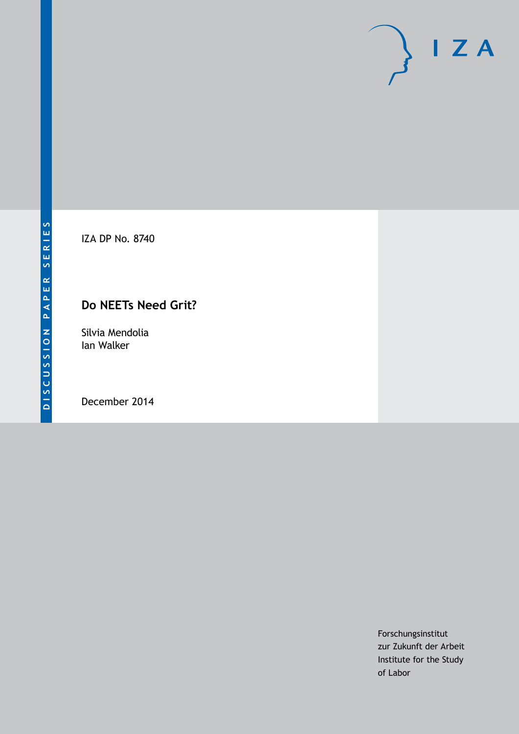

IZA DP No. 8740

# **Do NEETs Need Grit?**

Silvia Mendolia Ian Walker

December 2014

Forschungsinstitut zur Zukunft der Arbeit Institute for the Study of Labor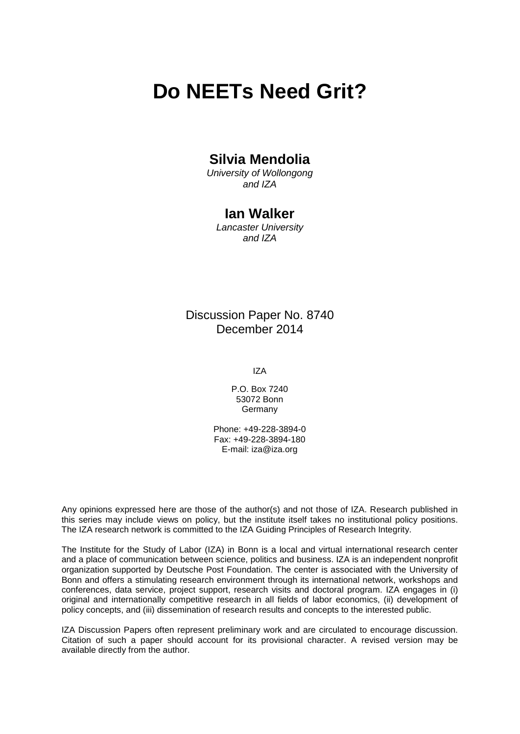# **Do NEETs Need Grit?**

# **Silvia Mendolia**

*University of Wollongong and IZA*

# **Ian Walker**

*Lancaster University and IZA*

# Discussion Paper No. 8740 December 2014

IZA

P.O. Box 7240 53072 Bonn **Germany** 

Phone: +49-228-3894-0 Fax: +49-228-3894-180 E-mail: [iza@iza.org](mailto:iza@iza.org)

Any opinions expressed here are those of the author(s) and not those of IZA. Research published in this series may include views on policy, but the institute itself takes no institutional policy positions. The IZA research network is committed to the IZA Guiding Principles of Research Integrity.

The Institute for the Study of Labor (IZA) in Bonn is a local and virtual international research center and a place of communication between science, politics and business. IZA is an independent nonprofit organization supported by Deutsche Post Foundation. The center is associated with the University of Bonn and offers a stimulating research environment through its international network, workshops and conferences, data service, project support, research visits and doctoral program. IZA engages in (i) original and internationally competitive research in all fields of labor economics, (ii) development of policy concepts, and (iii) dissemination of research results and concepts to the interested public.

IZA Discussion Papers often represent preliminary work and are circulated to encourage discussion. Citation of such a paper should account for its provisional character. A revised version may be available directly from the author.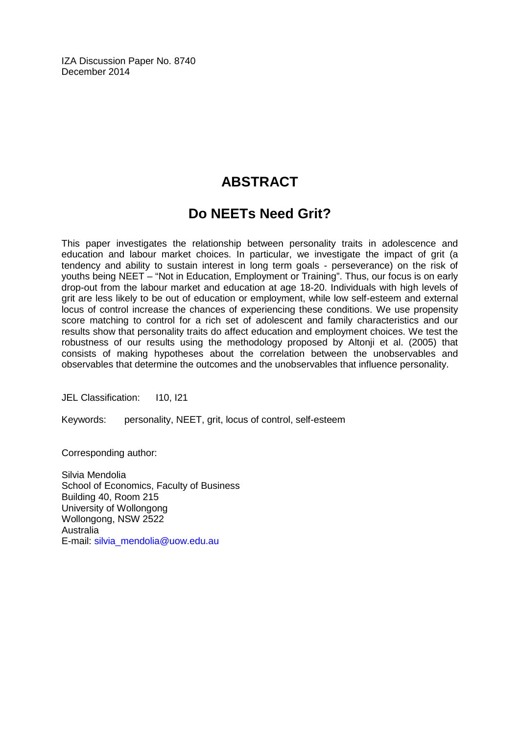IZA Discussion Paper No. 8740 December 2014

# **ABSTRACT**

# **Do NEETs Need Grit?**

This paper investigates the relationship between personality traits in adolescence and education and labour market choices. In particular, we investigate the impact of grit (a tendency and ability to sustain interest in long term goals - perseverance) on the risk of youths being NEET – "Not in Education, Employment or Training". Thus, our focus is on early drop-out from the labour market and education at age 18-20. Individuals with high levels of grit are less likely to be out of education or employment, while low self-esteem and external locus of control increase the chances of experiencing these conditions. We use propensity score matching to control for a rich set of adolescent and family characteristics and our results show that personality traits do affect education and employment choices. We test the robustness of our results using the methodology proposed by Altonji et al. (2005) that consists of making hypotheses about the correlation between the unobservables and observables that determine the outcomes and the unobservables that influence personality.

JEL Classification: 110, 121

Keywords: personality, NEET, grit, locus of control, self-esteem

Corresponding author:

Silvia Mendolia School of Economics, Faculty of Business Building 40, Room 215 University of Wollongong Wollongong, NSW 2522 Australia E-mail: [silvia\\_mendolia@uow.edu.au](mailto:silvia_mendolia@uow.edu.au)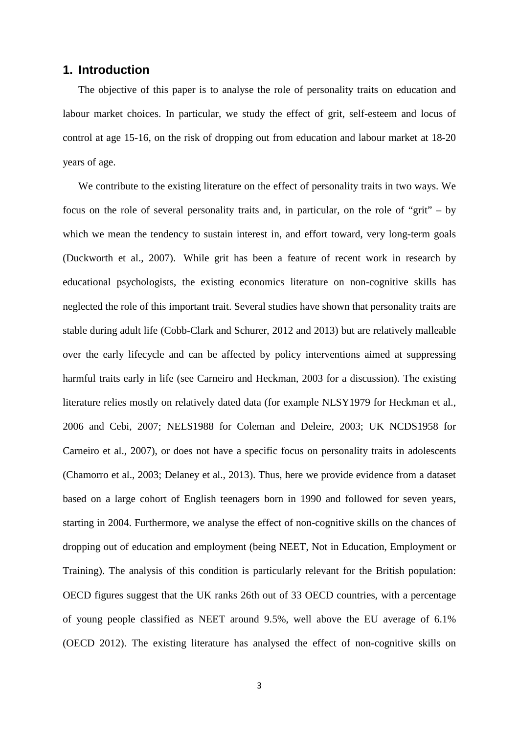### **1. Introduction**

The objective of this paper is to analyse the role of personality traits on education and labour market choices. In particular, we study the effect of grit, self-esteem and locus of control at age 15-16, on the risk of dropping out from education and labour market at 18-20 years of age.

We contribute to the existing literature on the effect of personality traits in two ways. We focus on the role of several personality traits and, in particular, on the role of "grit" – by which we mean the tendency to sustain interest in, and effort toward, very long-term goals (Duckworth et al., 2007). While grit has been a feature of recent work in research by educational psychologists, the existing economics literature on non-cognitive skills has neglected the role of this important trait. Several studies have shown that personality traits are stable during adult life (Cobb-Clark and Schurer, 2012 and 2013) but are relatively malleable over the early lifecycle and can be affected by policy interventions aimed at suppressing harmful traits early in life (see Carneiro and Heckman, 2003 for a discussion). The existing literature relies mostly on relatively dated data (for example NLSY1979 for Heckman et al., 2006 and Cebi, 2007; NELS1988 for Coleman and Deleire, 2003; UK NCDS1958 for Carneiro et al., 2007), or does not have a specific focus on personality traits in adolescents (Chamorro et al., 2003; Delaney et al., 2013). Thus, here we provide evidence from a dataset based on a large cohort of English teenagers born in 1990 and followed for seven years, starting in 2004. Furthermore, we analyse the effect of non-cognitive skills on the chances of dropping out of education and employment (being NEET, Not in Education, Employment or Training). The analysis of this condition is particularly relevant for the British population: OECD figures suggest that the UK ranks 26th out of 33 OECD countries, with a percentage of young people classified as NEET around 9.5%, well above the EU average of 6.1% (OECD 2012). The existing literature has analysed the effect of non-cognitive skills on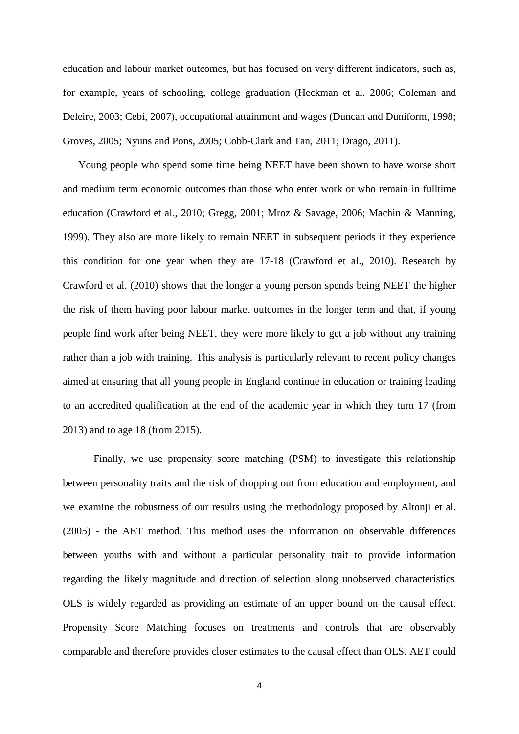education and labour market outcomes, but has focused on very different indicators, such as, for example, years of schooling, college graduation (Heckman et al. 2006; Coleman and Deleire, 2003; Cebi, 2007), occupational attainment and wages (Duncan and Duniform, 1998; Groves, 2005; Nyuns and Pons, 2005; Cobb-Clark and Tan, 2011; Drago, 2011).

Young people who spend some time being NEET have been shown to have worse short and medium term economic outcomes than those who enter work or who remain in fulltime education (Crawford et al., 2010; Gregg, 2001; Mroz & Savage, 2006; Machin & Manning, 1999). They also are more likely to remain NEET in subsequent periods if they experience this condition for one year when they are 17-18 (Crawford et al., 2010). Research by Crawford et al. (2010) shows that the longer a young person spends being NEET the higher the risk of them having poor labour market outcomes in the longer term and that, if young people find work after being NEET, they were more likely to get a job without any training rather than a job with training. This analysis is particularly relevant to recent policy changes aimed at ensuring that all young people in England continue in education or training leading to an accredited qualification at the end of the academic year in which they turn 17 (from 2013) and to age 18 (from 2015).

Finally, we use propensity score matching (PSM) to investigate this relationship between personality traits and the risk of dropping out from education and employment, and we examine the robustness of our results using the methodology proposed by Altonji et al. (2005) - the AET method. This method uses the information on observable differences between youths with and without a particular personality trait to provide information regarding the likely magnitude and direction of selection along unobserved characteristics. OLS is widely regarded as providing an estimate of an upper bound on the causal effect. Propensity Score Matching focuses on treatments and controls that are observably comparable and therefore provides closer estimates to the causal effect than OLS. AET could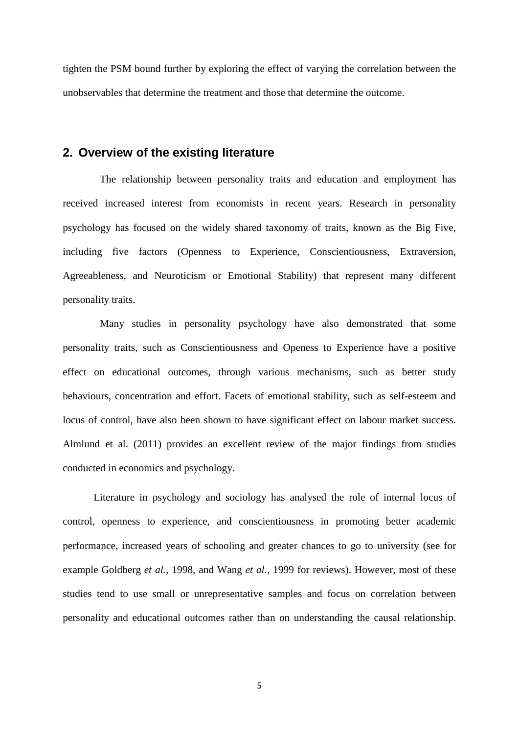tighten the PSM bound further by exploring the effect of varying the correlation between the unobservables that determine the treatment and those that determine the outcome.

# **2. Overview of the existing literature**

The relationship between personality traits and education and employment has received increased interest from economists in recent years. Research in personality psychology has focused on the widely shared taxonomy of traits, known as the Big Five, including five factors (Openness to Experience, Conscientiousness, Extraversion, Agreeableness, and Neuroticism or Emotional Stability) that represent many different personality traits.

Many studies in personality psychology have also demonstrated that some personality traits, such as Conscientiousness and Openess to Experience have a positive effect on educational outcomes, through various mechanisms, such as better study behaviours, concentration and effort. Facets of emotional stability, such as self-esteem and locus of control, have also been shown to have significant effect on labour market success. Almlund et al. (2011) provides an excellent review of the major findings from studies conducted in economics and psychology.

Literature in psychology and sociology has analysed the role of internal locus of control, openness to experience, and conscientiousness in promoting better academic performance, increased years of schooling and greater chances to go to university (see for example Goldberg *et al.,* 1998, and Wang *et al.,* 1999 for reviews). However, most of these studies tend to use small or unrepresentative samples and focus on correlation between personality and educational outcomes rather than on understanding the causal relationship.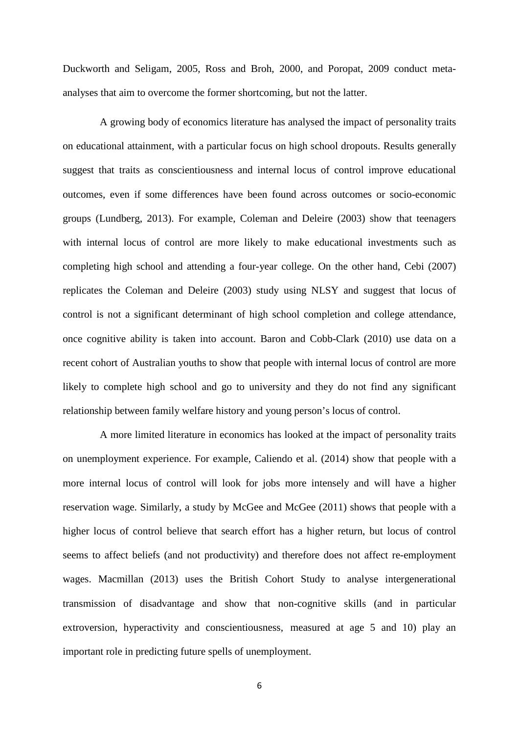Duckworth and Seligam, 2005, Ross and Broh, 2000, and Poropat, 2009 conduct metaanalyses that aim to overcome the former shortcoming, but not the latter.

A growing body of economics literature has analysed the impact of personality traits on educational attainment, with a particular focus on high school dropouts. Results generally suggest that traits as conscientiousness and internal locus of control improve educational outcomes, even if some differences have been found across outcomes or socio-economic groups (Lundberg, 2013). For example, Coleman and Deleire (2003) show that teenagers with internal locus of control are more likely to make educational investments such as completing high school and attending a four-year college. On the other hand, Cebi (2007) replicates the Coleman and Deleire (2003) study using NLSY and suggest that locus of control is not a significant determinant of high school completion and college attendance, once cognitive ability is taken into account. Baron and Cobb-Clark (2010) use data on a recent cohort of Australian youths to show that people with internal locus of control are more likely to complete high school and go to university and they do not find any significant relationship between family welfare history and young person's locus of control.

A more limited literature in economics has looked at the impact of personality traits on unemployment experience. For example, Caliendo et al. (2014) show that people with a more internal locus of control will look for jobs more intensely and will have a higher reservation wage. Similarly, a study by McGee and McGee (2011) shows that people with a higher locus of control believe that search effort has a higher return, but locus of control seems to affect beliefs (and not productivity) and therefore does not affect re-employment wages. Macmillan (2013) uses the British Cohort Study to analyse intergenerational transmission of disadvantage and show that non-cognitive skills (and in particular extroversion, hyperactivity and conscientiousness, measured at age 5 and 10) play an important role in predicting future spells of unemployment.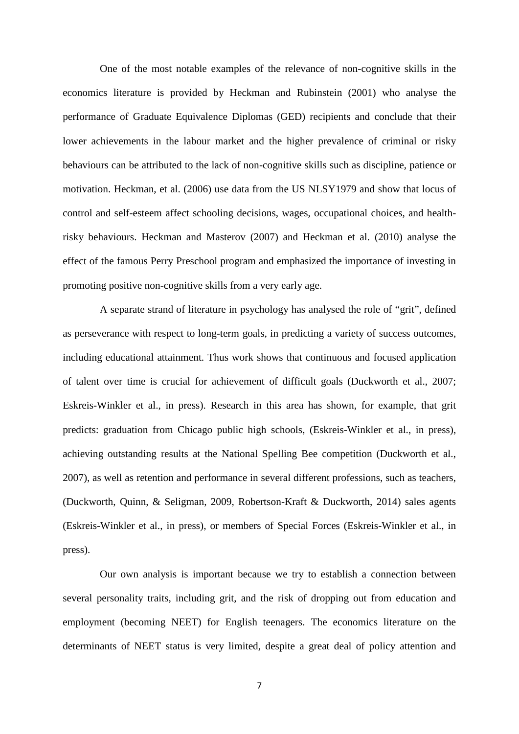One of the most notable examples of the relevance of non-cognitive skills in the economics literature is provided by Heckman and Rubinstein (2001) who analyse the performance of Graduate Equivalence Diplomas (GED) recipients and conclude that their lower achievements in the labour market and the higher prevalence of criminal or risky behaviours can be attributed to the lack of non-cognitive skills such as discipline, patience or motivation. Heckman, et al. (2006) use data from the US NLSY1979 and show that locus of control and self-esteem affect schooling decisions, wages, occupational choices, and healthrisky behaviours. Heckman and Masterov (2007) and Heckman et al. (2010) analyse the effect of the famous Perry Preschool program and emphasized the importance of investing in promoting positive non-cognitive skills from a very early age.

A separate strand of literature in psychology has analysed the role of "grit", defined as perseverance with respect to long-term goals, in predicting a variety of success outcomes, including educational attainment. Thus work shows that continuous and focused application of talent over time is crucial for achievement of difficult goals (Duckworth et al., 2007; Eskreis-Winkler et al., in press). Research in this area has shown, for example, that grit predicts: graduation from Chicago public high schools, (Eskreis-Winkler et al., in press), achieving outstanding results at the National Spelling Bee competition (Duckworth et al., 2007), as well as retention and performance in several different professions, such as teachers, (Duckworth, Quinn, & Seligman, 2009, Robertson-Kraft & Duckworth, 2014) sales agents (Eskreis-Winkler et al., in press), or members of Special Forces (Eskreis-Winkler et al., in press).

Our own analysis is important because we try to establish a connection between several personality traits, including grit, and the risk of dropping out from education and employment (becoming NEET) for English teenagers. The economics literature on the determinants of NEET status is very limited, despite a great deal of policy attention and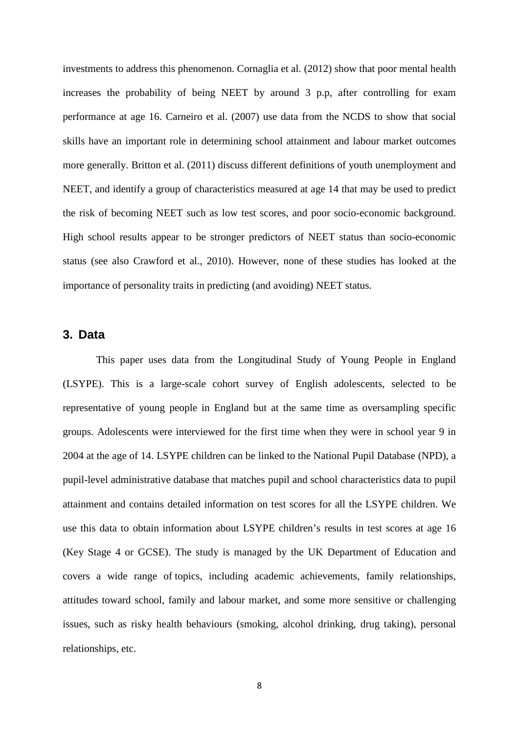investments to address this phenomenon. Cornaglia et al. (2012) show that poor mental health increases the probability of being NEET by around 3 p.p, after controlling for exam performance at age 16. Carneiro et al. (2007) use data from the NCDS to show that social skills have an important role in determining school attainment and labour market outcomes more generally. Britton et al. (2011) discuss different definitions of youth unemployment and NEET, and identify a group of characteristics measured at age 14 that may be used to predict the risk of becoming NEET such as low test scores, and poor socio-economic background. High school results appear to be stronger predictors of NEET status than socio-economic status (see also Crawford et al., 2010). However, none of these studies has looked at the importance of personality traits in predicting (and avoiding) NEET status.

# **3. Data**

This paper uses data from the Longitudinal Study of Young People in England (LSYPE). This is a large-scale cohort survey of English adolescents, selected to be representative of young people in England but at the same time as oversampling specific groups. Adolescents were interviewed for the first time when they were in school year 9 in 2004 at the age of 14. LSYPE children can be linked to the National Pupil Database (NPD), a pupil-level administrative database that matches pupil and school characteristics data to pupil attainment and contains detailed information on test scores for all the LSYPE children. We use this data to obtain information about LSYPE children's results in test scores at age 16 (Key Stage 4 or GCSE). The study is managed by the UK Department of Education and covers a wide range of topics, including academic achievements, family relationships, attitudes toward school, family and labour market, and some more sensitive or challenging issues, such as risky health behaviours (smoking, alcohol drinking, drug taking), personal relationships, etc.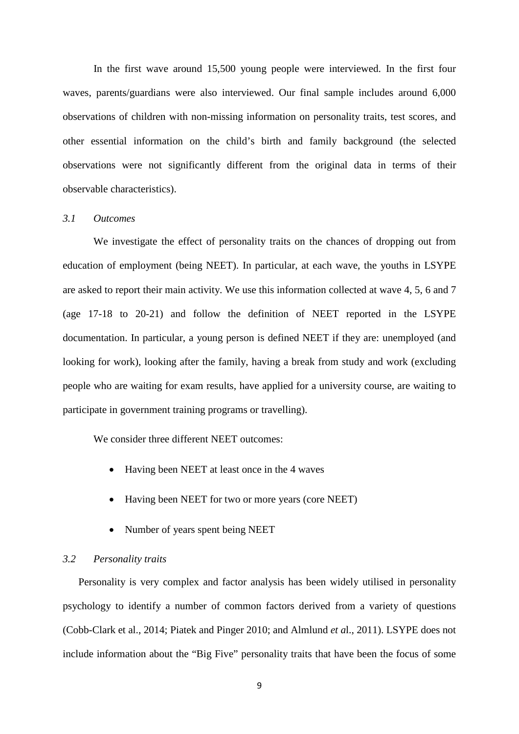In the first wave around 15,500 young people were interviewed. In the first four waves, parents/guardians were also interviewed. Our final sample includes around 6,000 observations of children with non-missing information on personality traits, test scores, and other essential information on the child's birth and family background (the selected observations were not significantly different from the original data in terms of their observable characteristics).

#### *3.1 Outcomes*

We investigate the effect of personality traits on the chances of dropping out from education of employment (being NEET). In particular, at each wave, the youths in LSYPE are asked to report their main activity. We use this information collected at wave 4, 5, 6 and 7 (age 17-18 to 20-21) and follow the definition of NEET reported in the LSYPE documentation. In particular, a young person is defined NEET if they are: unemployed (and looking for work), looking after the family, having a break from study and work (excluding people who are waiting for exam results, have applied for a university course, are waiting to participate in government training programs or travelling).

We consider three different NEET outcomes:

- Having been NEET at least once in the 4 waves
- Having been NEET for two or more years (core NEET)
- Number of years spent being NEET

### *3.2 Personality traits*

Personality is very complex and factor analysis has been widely utilised in personality psychology to identify a number of common factors derived from a variety of questions (Cobb-Clark et al., 2014; Piatek and Pinger 2010; and Almlund *et a*l., 2011). LSYPE does not include information about the "Big Five" personality traits that have been the focus of some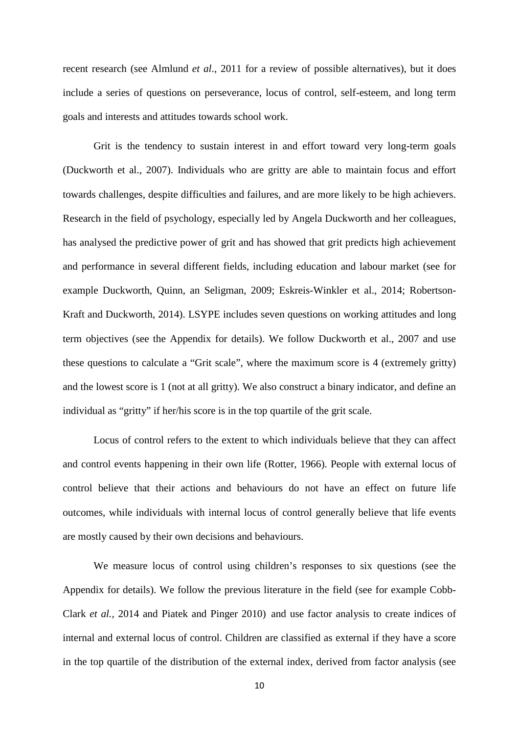recent research (see Almlund *et al*., 2011 for a review of possible alternatives), but it does include a series of questions on perseverance, locus of control, self-esteem, and long term goals and interests and attitudes towards school work.

Grit is the tendency to sustain interest in and effort toward very long-term goals (Duckworth et al., 2007). Individuals who are gritty are able to maintain focus and effort towards challenges, despite difficulties and failures, and are more likely to be high achievers. Research in the field of psychology, especially led by Angela Duckworth and her colleagues, has analysed the predictive power of grit and has showed that grit predicts high achievement and performance in several different fields, including education and labour market (see for example Duckworth, Quinn, an Seligman, 2009; Eskreis-Winkler et al., 2014; Robertson-Kraft and Duckworth, 2014). LSYPE includes seven questions on working attitudes and long term objectives (see the Appendix for details). We follow Duckworth et al., 2007 and use these questions to calculate a "Grit scale", where the maximum score is 4 (extremely gritty) and the lowest score is 1 (not at all gritty). We also construct a binary indicator, and define an individual as "gritty" if her/his score is in the top quartile of the grit scale.

Locus of control refers to the extent to which individuals believe that they can affect and control events happening in their own life (Rotter, 1966). People with external locus of control believe that their actions and behaviours do not have an effect on future life outcomes, while individuals with internal locus of control generally believe that life events are mostly caused by their own decisions and behaviours.

We measure locus of control using children's responses to six questions (see the Appendix for details). We follow the previous literature in the field (see for example Cobb-Clark *et al.,* 2014 and Piatek and Pinger 2010) and use factor analysis to create indices of internal and external locus of control. Children are classified as external if they have a score in the top quartile of the distribution of the external index, derived from factor analysis (see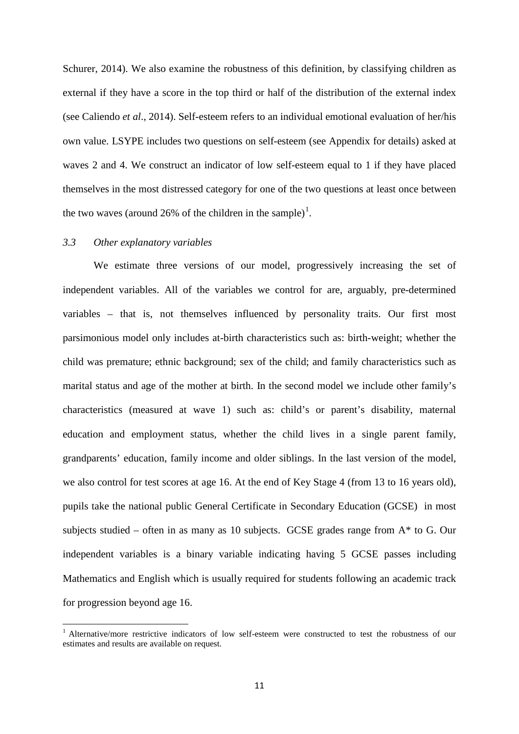Schurer, 2014). We also examine the robustness of this definition, by classifying children as external if they have a score in the top third or half of the distribution of the external index (see Caliendo *et al*., 2014). Self-esteem refers to an individual emotional evaluation of her/his own value. LSYPE includes two questions on self-esteem (see Appendix for details) asked at waves 2 and 4. We construct an indicator of low self-esteem equal to 1 if they have placed themselves in the most distressed category for one of the two questions at least once between the two waves (around 26% of the children in the sample)<sup>1</sup>.

#### *3.3 Other explanatory variables*

We estimate three versions of our model, progressively increasing the set of independent variables. All of the variables we control for are, arguably, pre-determined variables – that is, not themselves influenced by personality traits. Our first most parsimonious model only includes at-birth characteristics such as: birth-weight; whether the child was premature; ethnic background; sex of the child; and family characteristics such as marital status and age of the mother at birth. In the second model we include other family's characteristics (measured at wave 1) such as: child's or parent's disability, maternal education and employment status, whether the child lives in a single parent family, grandparents' education, family income and older siblings. In the last version of the model, we also control for test scores at age 16. At the end of Key Stage 4 (from 13 to 16 years old), pupils take the national public General Certificate in Secondary Education (GCSE) in most subjects studied – often in as many as 10 subjects. GCSE grades range from  $A^*$  to G. Our independent variables is a binary variable indicating having 5 GCSE passes including Mathematics and English which is usually required for students following an academic track for progression beyond age 16.

<span id="page-11-0"></span><sup>&</sup>lt;sup>1</sup> Alternative/more restrictive indicators of low self-esteem were constructed to test the robustness of our estimates and results are available on request.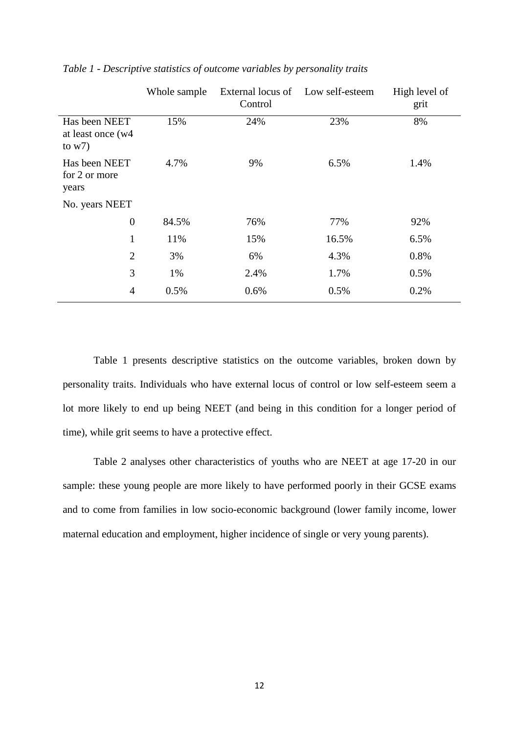|                                                 | Whole sample | External locus of Low self-esteem<br>Control |       | High level of<br>grit |
|-------------------------------------------------|--------------|----------------------------------------------|-------|-----------------------|
| Has been NEET<br>at least once (w4)<br>to $w7)$ | 15%          | 24%                                          | 23%   | 8%                    |
| Has been NEET<br>for 2 or more<br>years         | 4.7%         | 9%                                           | 6.5%  | 1.4%                  |
| No. years NEET                                  |              |                                              |       |                       |
| $\overline{0}$                                  | 84.5%        | 76%                                          | 77%   | 92%                   |
| $\mathbf{1}$                                    | 11%          | 15%                                          | 16.5% | 6.5%                  |
| $\overline{2}$                                  | 3%           | 6%                                           | 4.3%  | 0.8%                  |
| 3                                               | 1%           | 2.4%                                         | 1.7%  | 0.5%                  |
| $\overline{4}$                                  | 0.5%         | 0.6%                                         | 0.5%  | 0.2%                  |

*Table 1 - Descriptive statistics of outcome variables by personality traits*

Table 1 presents descriptive statistics on the outcome variables, broken down by personality traits. Individuals who have external locus of control or low self-esteem seem a lot more likely to end up being NEET (and being in this condition for a longer period of time), while grit seems to have a protective effect.

Table 2 analyses other characteristics of youths who are NEET at age 17-20 in our sample: these young people are more likely to have performed poorly in their GCSE exams and to come from families in low socio-economic background (lower family income, lower maternal education and employment, higher incidence of single or very young parents).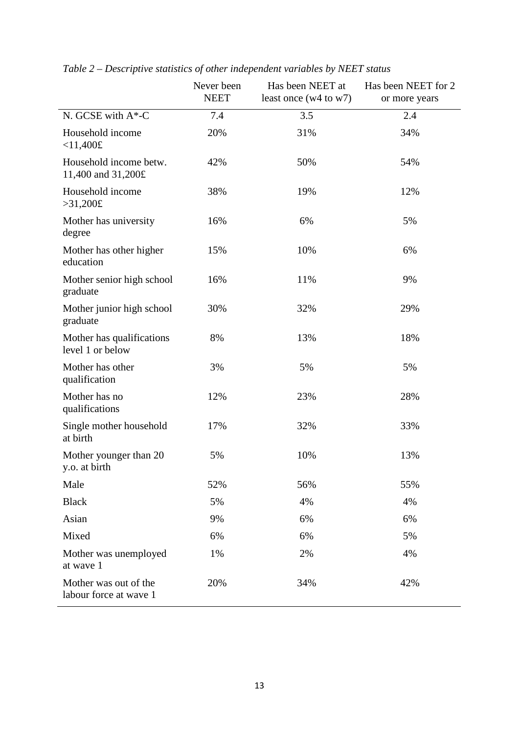|                                                 | Never been<br><b>NEET</b> | Has been NEET at<br>least once $(w4 \text{ to } w7)$ | Has been NEET for 2<br>or more years |
|-------------------------------------------------|---------------------------|------------------------------------------------------|--------------------------------------|
| N. GCSE with A*-C                               | 7.4                       | 3.5                                                  | 2.4                                  |
| Household income<br>$< 11,400$ £                | 20%                       | 31%                                                  | 34%                                  |
| Household income betw.<br>11,400 and 31,200£    | 42%                       | 50%                                                  | 54%                                  |
| Household income<br>>31,200f                    | 38%                       | 19%                                                  | 12%                                  |
| Mother has university<br>degree                 | 16%                       | 6%                                                   | 5%                                   |
| Mother has other higher<br>education            | 15%                       | 10%                                                  | 6%                                   |
| Mother senior high school<br>graduate           | 16%                       | 11%                                                  | 9%                                   |
| Mother junior high school<br>graduate           | 30%                       | 32%                                                  | 29%                                  |
| Mother has qualifications<br>level 1 or below   | 8%                        | 13%                                                  | 18%                                  |
| Mother has other<br>qualification               | 3%                        | 5%                                                   | 5%                                   |
| Mother has no<br>qualifications                 | 12%                       | 23%                                                  | 28%                                  |
| Single mother household<br>at birth             | 17%                       | 32%                                                  | 33%                                  |
| Mother younger than 20<br>y.o. at birth         | 5%                        | 10%                                                  | 13%                                  |
| Male                                            | 52%                       | 56%                                                  | 55%                                  |
| <b>Black</b>                                    | 5%                        | 4%                                                   | 4%                                   |
| Asian                                           | 9%                        | 6%                                                   | 6%                                   |
| Mixed                                           | 6%                        | 6%                                                   | 5%                                   |
| Mother was unemployed<br>at wave 1              | 1%                        | 2%                                                   | 4%                                   |
| Mother was out of the<br>labour force at wave 1 | 20%                       | 34%                                                  | 42%                                  |

*Table 2 – Descriptive statistics of other independent variables by NEET status*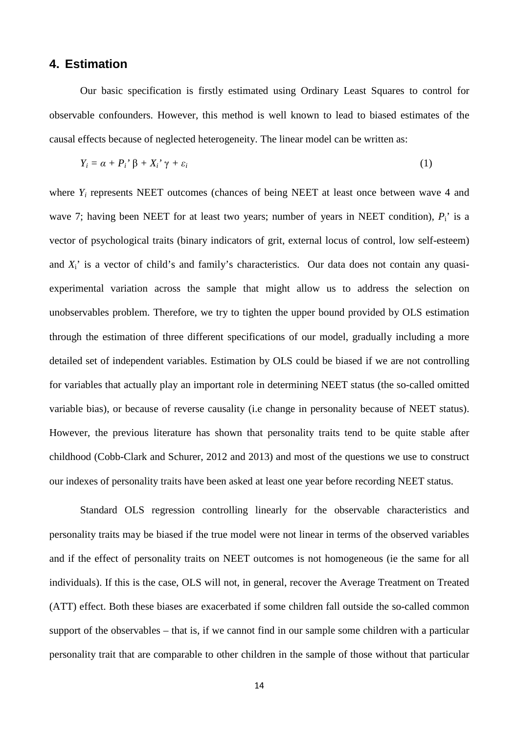# **4. Estimation**

Our basic specification is firstly estimated using Ordinary Least Squares to control for observable confounders. However, this method is well known to lead to biased estimates of the causal effects because of neglected heterogeneity. The linear model can be written as:

$$
Y_i = \alpha + P_i' \beta + X_i' \gamma + \varepsilon_i \tag{1}
$$

where  $Y_i$  represents NEET outcomes (chances of being NEET at least once between wave 4 and wave 7; having been NEET for at least two years; number of years in NEET condition),  $P_i$  is a vector of psychological traits (binary indicators of grit, external locus of control, low self-esteem) and *X*<sub>i</sub>' is a vector of child's and family's characteristics. Our data does not contain any quasiexperimental variation across the sample that might allow us to address the selection on unobservables problem. Therefore, we try to tighten the upper bound provided by OLS estimation through the estimation of three different specifications of our model, gradually including a more detailed set of independent variables. Estimation by OLS could be biased if we are not controlling for variables that actually play an important role in determining NEET status (the so-called omitted variable bias), or because of reverse causality (i.e change in personality because of NEET status). However, the previous literature has shown that personality traits tend to be quite stable after childhood (Cobb-Clark and Schurer, 2012 and 2013) and most of the questions we use to construct our indexes of personality traits have been asked at least one year before recording NEET status.

Standard OLS regression controlling linearly for the observable characteristics and personality traits may be biased if the true model were not linear in terms of the observed variables and if the effect of personality traits on NEET outcomes is not homogeneous (ie the same for all individuals). If this is the case, OLS will not, in general, recover the Average Treatment on Treated (ATT) effect. Both these biases are exacerbated if some children fall outside the so-called common support of the observables – that is, if we cannot find in our sample some children with a particular personality trait that are comparable to other children in the sample of those without that particular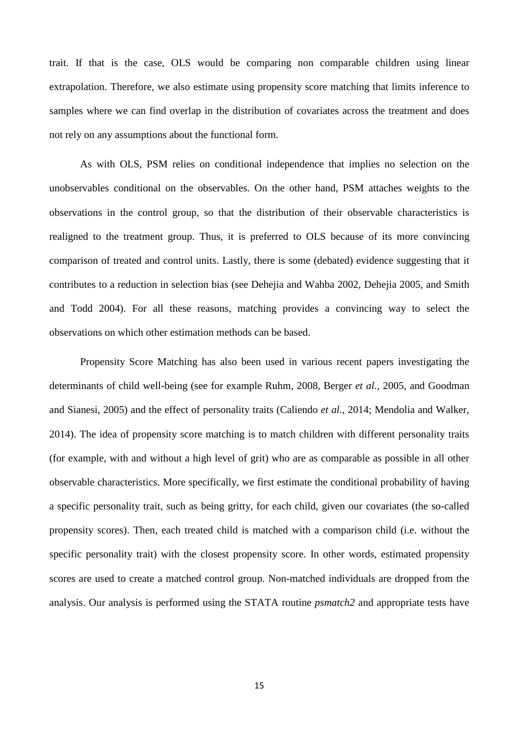trait. If that is the case, OLS would be comparing non comparable children using linear extrapolation. Therefore, we also estimate using propensity score matching that limits inference to samples where we can find overlap in the distribution of covariates across the treatment and does not rely on any assumptions about the functional form.

As with OLS, PSM relies on conditional independence that implies no selection on the unobservables conditional on the observables. On the other hand, PSM attaches weights to the observations in the control group, so that the distribution of their observable characteristics is realigned to the treatment group. Thus, it is preferred to OLS because of its more convincing comparison of treated and control units. Lastly, there is some (debated) evidence suggesting that it contributes to a reduction in selection bias (see Dehejia and Wahba 2002, Dehejia 2005, and Smith and Todd 2004). For all these reasons, matching provides a convincing way to select the observations on which other estimation methods can be based.

Propensity Score Matching has also been used in various recent papers investigating the determinants of child well-being (see for example Ruhm, 2008, Berger *et al.,* 2005, and Goodman and Sianesi, 2005) and the effect of personality traits (Caliendo *et al*., 2014; Mendolia and Walker, 2014). The idea of propensity score matching is to match children with different personality traits (for example, with and without a high level of grit) who are as comparable as possible in all other observable characteristics. More specifically, we first estimate the conditional probability of having a specific personality trait, such as being gritty, for each child, given our covariates (the so-called propensity scores). Then, each treated child is matched with a comparison child (i.e. without the specific personality trait) with the closest propensity score. In other words, estimated propensity scores are used to create a matched control group. Non-matched individuals are dropped from the analysis. Our analysis is performed using the STATA routine *psmatch2* and appropriate tests have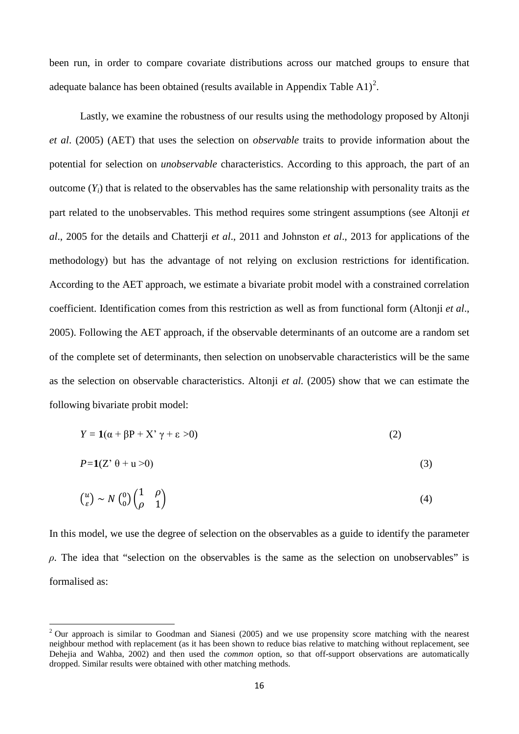been run, in order to compare covariate distributions across our matched groups to ensure that adequate balance has been obtained (results available in Appendix Table A1)<sup>[2](#page-11-0)</sup>.

Lastly, we examine the robustness of our results using the methodology proposed by Altonji *et al*. (2005) (AET) that uses the selection on *observable* traits to provide information about the potential for selection on *unobservable* characteristics. According to this approach, the part of an outcome  $(Y_i)$  that is related to the observables has the same relationship with personality traits as the part related to the unobservables. This method requires some stringent assumptions (see Altonji *et al*., 2005 for the details and Chatterji *et al*., 2011 and Johnston *et al*., 2013 for applications of the methodology) but has the advantage of not relying on exclusion restrictions for identification. According to the AET approach, we estimate a bivariate probit model with a constrained correlation coefficient. Identification comes from this restriction as well as from functional form (Altonji *et al*., 2005). Following the AET approach, if the observable determinants of an outcome are a random set of the complete set of determinants, then selection on unobservable characteristics will be the same as the selection on observable characteristics. Altonji *et al.* (2005) show that we can estimate the following bivariate probit model:

$$
Y = \mathbf{1}(\alpha + \beta P + X' \gamma + \varepsilon > 0)
$$
 (2)

$$
P=1(Z^{\prime}\theta+u>0)
$$
 (3)

$$
\begin{pmatrix} u \\ \varepsilon \end{pmatrix} \sim N \begin{pmatrix} 0 \\ 0 \end{pmatrix} \begin{pmatrix} 1 & \rho \\ \rho & 1 \end{pmatrix} \tag{4}
$$

In this model, we use the degree of selection on the observables as a guide to identify the parameter *ρ.* The idea that "selection on the observables is the same as the selection on unobservables" is formalised as:

<span id="page-16-0"></span><sup>&</sup>lt;sup>2</sup> Our approach is similar to Goodman and Sianesi (2005) and we use propensity score matching with the nearest neighbour method with replacement (as it has been shown to reduce bias relative to matching without replacement, see Dehejia and Wahba, 2002) and then used the *common* option, so that off-support observations are automatically dropped. Similar results were obtained with other matching methods.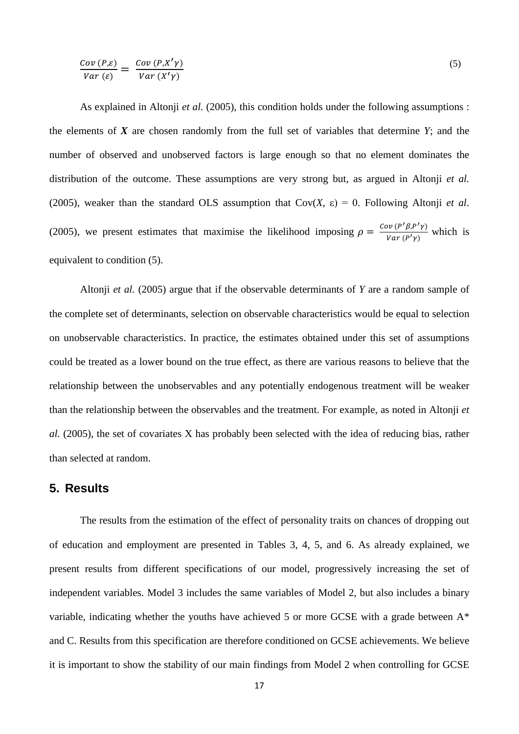$$
\frac{Cov(P,\varepsilon)}{Var(\varepsilon)} = \frac{Cov(P,X'Y)}{Var(X'Y)}\tag{5}
$$

As explained in Altonji *et al.* (2005), this condition holds under the following assumptions : the elements of *X* are chosen randomly from the full set of variables that determine *Y*; and the number of observed and unobserved factors is large enough so that no element dominates the distribution of the outcome. These assumptions are very strong but, as argued in Altonji *et al.* (2005), weaker than the standard OLS assumption that  $Cov(X, \varepsilon) = 0$ . Following Altonji *et al.* (2005), we present estimates that maximise the likelihood imposing  $\rho = \frac{Cov(P' \beta, P' \gamma)}{Var(P' \gamma)}$  which is equivalent to condition (5).

Altonji *et al.* (2005) argue that if the observable determinants of *Y* are a random sample of the complete set of determinants, selection on observable characteristics would be equal to selection on unobservable characteristics. In practice, the estimates obtained under this set of assumptions could be treated as a lower bound on the true effect, as there are various reasons to believe that the relationship between the unobservables and any potentially endogenous treatment will be weaker than the relationship between the observables and the treatment. For example, as noted in Altonji *et al.* (2005), the set of covariates X has probably been selected with the idea of reducing bias, rather than selected at random.

# **5. Results**

The results from the estimation of the effect of personality traits on chances of dropping out of education and employment are presented in Tables 3, 4, 5, and 6. As already explained, we present results from different specifications of our model, progressively increasing the set of independent variables. Model 3 includes the same variables of Model 2, but also includes a binary variable, indicating whether the youths have achieved 5 or more GCSE with a grade between A\* and C. Results from this specification are therefore conditioned on GCSE achievements. We believe it is important to show the stability of our main findings from Model 2 when controlling for GCSE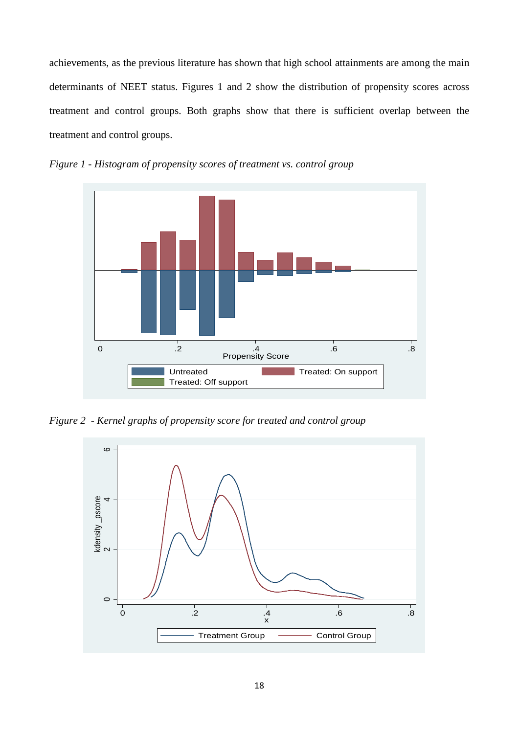achievements, as the previous literature has shown that high school attainments are among the main determinants of NEET status. Figures 1 and 2 show the distribution of propensity scores across treatment and control groups. Both graphs show that there is sufficient overlap between the treatment and control groups.



*Figure 1 - Histogram of propensity scores of treatment vs. control group*

*Figure 2 - Kernel graphs of propensity score for treated and control group*

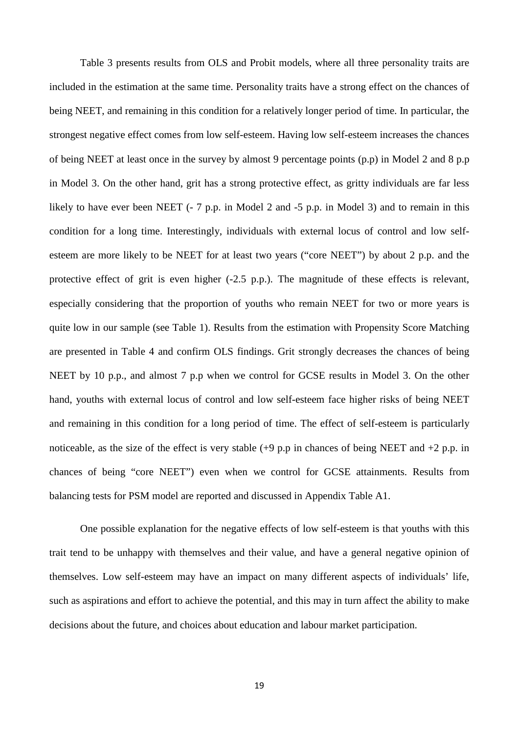Table 3 presents results from OLS and Probit models, where all three personality traits are included in the estimation at the same time. Personality traits have a strong effect on the chances of being NEET, and remaining in this condition for a relatively longer period of time. In particular, the strongest negative effect comes from low self-esteem. Having low self-esteem increases the chances of being NEET at least once in the survey by almost 9 percentage points (p.p) in Model 2 and 8 p.p in Model 3. On the other hand, grit has a strong protective effect, as gritty individuals are far less likely to have ever been NEET (- 7 p.p. in Model 2 and -5 p.p. in Model 3) and to remain in this condition for a long time. Interestingly, individuals with external locus of control and low selfesteem are more likely to be NEET for at least two years ("core NEET") by about 2 p.p. and the protective effect of grit is even higher (-2.5 p.p.). The magnitude of these effects is relevant, especially considering that the proportion of youths who remain NEET for two or more years is quite low in our sample (see Table 1). Results from the estimation with Propensity Score Matching are presented in Table 4 and confirm OLS findings. Grit strongly decreases the chances of being NEET by 10 p.p., and almost 7 p.p when we control for GCSE results in Model 3. On the other hand, youths with external locus of control and low self-esteem face higher risks of being NEET and remaining in this condition for a long period of time. The effect of self-esteem is particularly noticeable, as the size of the effect is very stable  $(+9 \text{ p.p}$  in chances of being NEET and  $+2 \text{ p.p.}$  in chances of being "core NEET") even when we control for GCSE attainments. Results from balancing tests for PSM model are reported and discussed in Appendix Table A1.

One possible explanation for the negative effects of low self-esteem is that youths with this trait tend to be unhappy with themselves and their value, and have a general negative opinion of themselves. Low self-esteem may have an impact on many different aspects of individuals' life, such as aspirations and effort to achieve the potential, and this may in turn affect the ability to make decisions about the future, and choices about education and labour market participation.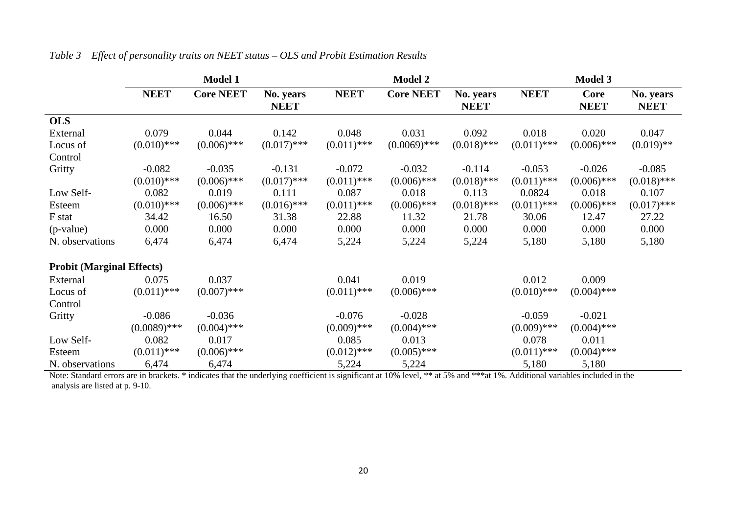|                                  | <b>Model 1</b> |                  |                                 | <b>Model 2</b> |                  |                          | <b>Model 3</b> |                            |                          |
|----------------------------------|----------------|------------------|---------------------------------|----------------|------------------|--------------------------|----------------|----------------------------|--------------------------|
|                                  | <b>NEET</b>    | <b>Core NEET</b> | <b>No.</b> years<br><b>NEET</b> | <b>NEET</b>    | <b>Core NEET</b> | No. years<br><b>NEET</b> | <b>NEET</b>    | <b>Core</b><br><b>NEET</b> | No. years<br><b>NEET</b> |
| <b>OLS</b>                       |                |                  |                                 |                |                  |                          |                |                            |                          |
| External                         | 0.079          | 0.044            | 0.142                           | 0.048          | 0.031            | 0.092                    | 0.018          | 0.020                      | 0.047                    |
| Locus of                         | $(0.010)$ ***  | $(0.006)$ ***    | $(0.017)$ ***                   | $(0.011)$ ***  | $(0.0069)$ ***   | $(0.018)$ ***            | $(0.011)$ ***  | $(0.006)$ ***              | $(0.019)$ **             |
| Control                          |                |                  |                                 |                |                  |                          |                |                            |                          |
| Gritty                           | $-0.082$       | $-0.035$         | $-0.131$                        | $-0.072$       | $-0.032$         | $-0.114$                 | $-0.053$       | $-0.026$                   | $-0.085$                 |
|                                  | $(0.010)$ ***  | $(0.006)$ ***    | $(0.017)$ ***                   | $(0.011)$ ***  | $(0.006)$ ***    | $(0.018)$ ***            | $(0.011)$ ***  | $(0.006)$ ***              | $(0.018)$ ***            |
| Low Self-                        | 0.082          | 0.019            | 0.111                           | 0.087          | 0.018            | 0.113                    | 0.0824         | 0.018                      | 0.107                    |
| Esteem                           | $(0.010)$ ***  | $(0.006)$ ***    | $(0.016)$ ***                   | $(0.011)$ ***  | $(0.006)$ ***    | $(0.018)$ ***            | $(0.011)$ ***  | $(0.006)$ ***              | $(0.017)$ ***            |
| F stat                           | 34.42          | 16.50            | 31.38                           | 22.88          | 11.32            | 21.78                    | 30.06          | 12.47                      | 27.22                    |
| (p-value)                        | 0.000          | 0.000            | 0.000                           | 0.000          | 0.000            | 0.000                    | 0.000          | 0.000                      | 0.000                    |
| N. observations                  | 6,474          | 6,474            | 6,474                           | 5,224          | 5,224            | 5,224                    | 5,180          | 5,180                      | 5,180                    |
| <b>Probit (Marginal Effects)</b> |                |                  |                                 |                |                  |                          |                |                            |                          |
| External                         | 0.075          | 0.037            |                                 | 0.041          | 0.019            |                          | 0.012          | 0.009                      |                          |
| Locus of                         | $(0.011)$ ***  | $(0.007)$ ***    |                                 | $(0.011)$ ***  | $(0.006)$ ***    |                          | $(0.010)$ ***  | $(0.004)$ ***              |                          |
| Control                          |                |                  |                                 |                |                  |                          |                |                            |                          |
| Gritty                           | $-0.086$       | $-0.036$         |                                 | $-0.076$       | $-0.028$         |                          | $-0.059$       | $-0.021$                   |                          |
|                                  | $(0.0089)$ *** | $(0.004)$ ***    |                                 | $(0.009)$ ***  | $(0.004)$ ***    |                          | $(0.009)$ ***  | $(0.004)$ ***              |                          |
| Low Self-                        | 0.082          | 0.017            |                                 | 0.085          | 0.013            |                          | 0.078          | 0.011                      |                          |
| Esteem                           | $(0.011)$ ***  | $(0.006)$ ***    |                                 | $(0.012)$ ***  | $(0.005)$ ***    |                          | $(0.011)$ ***  | $(0.004)$ ***              |                          |
| N. observations                  | 6,474          | 6,474            |                                 | 5,224          | 5,224            |                          | 5,180          | 5,180                      |                          |

### *Table 3 Effect of personality traits on NEET status – OLS and Probit Estimation Results*

Note: Standard errors are in brackets. \* indicates that the underlying coefficient is significant at 10% level, \*\* at 5% and \*\*\*at 1%. Additional variables included in the analysis are listed at p. 9-10.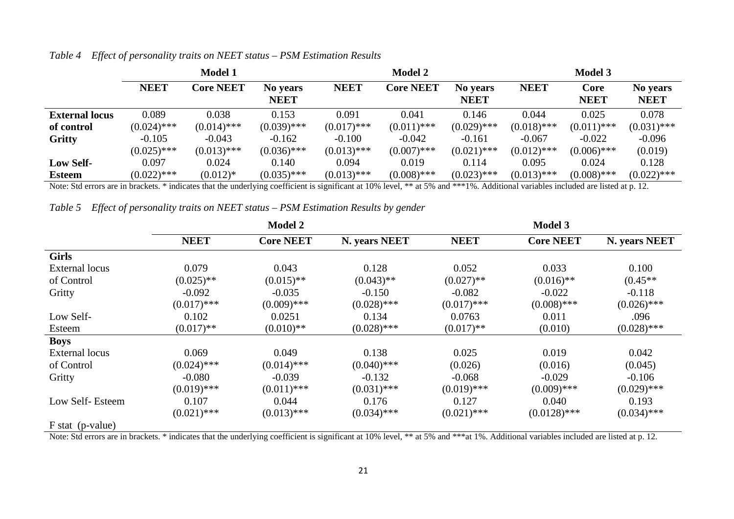|                       | <b>Model 1</b> |                  |                         | <b>Model 2</b> |                  |                         | <b>Model 3</b> |                     |                         |
|-----------------------|----------------|------------------|-------------------------|----------------|------------------|-------------------------|----------------|---------------------|-------------------------|
|                       | <b>NEET</b>    | <b>Core NEET</b> | No years<br><b>NEET</b> | <b>NEET</b>    | <b>Core NEET</b> | No years<br><b>NEET</b> | <b>NEET</b>    | Core<br><b>NEET</b> | No years<br><b>NEET</b> |
| <b>External locus</b> | 0.089          | 0.038            | 0.153                   | 0.091          | 0.041            | 0.146                   | 0.044          | 0.025               | 0.078                   |
| of control            | $(0.024)$ ***  | $(0.014)$ ***    | $(0.039)$ ***           | $(0.017)$ ***  | $(0.011)$ ***    | $(0.029)$ ***           | $(0.018)$ ***  | $(0.011)$ ***       | $(0.031)$ ***           |
| <b>Gritty</b>         | $-0.105$       | $-0.043$         | $-0.162$                | $-0.100$       | $-0.042$         | $-0.161$                | $-0.067$       | $-0.022$            | $-0.096$                |
|                       | $(0.025)$ ***  | $(0.013)$ ***    | $(0.036)$ ***           | $(0.013)$ ***  | $(0.007)$ ***    | $(0.021)$ ***           | $(0.012)$ ***  | $(0.006)$ ***       | (0.019)                 |
| <b>Low Self-</b>      | 0.097          | 0.024            | 0.140                   | 0.094          | 0.019            | 0.114                   | 0.095          | 0.024               | 0.128                   |
| <b>Esteem</b>         | $(0.022)$ ***  | $(0.012)*$       | $(0.035)$ ***           | $(0.013)$ ***  | $(0.008)$ ***    | $(0.023)$ ***           | $(0.013)$ ***  | $(0.008)$ ***       | $(0.022)$ ***           |

*Table 4 Effect of personality traits on NEET status – PSM Estimation Results*

Note: Std errors are in brackets. \* indicates that the underlying coefficient is significant at 10% level, \*\* at 5% and \*\*\*1%. Additional variables included are listed at p. 12.

*Table 5 Effect of personality traits on NEET status – PSM Estimation Results by gender*

|                       | <b>Model 2</b> |                  |               | <b>Model 3</b> |                  |               |  |
|-----------------------|----------------|------------------|---------------|----------------|------------------|---------------|--|
|                       | <b>NEET</b>    | <b>Core NEET</b> | N. years NEET | <b>NEET</b>    | <b>Core NEET</b> | N. years NEET |  |
| <b>Girls</b>          |                |                  |               |                |                  |               |  |
| <b>External locus</b> | 0.079          | 0.043            | 0.128         | 0.052          | 0.033            | 0.100         |  |
| of Control            | $(0.025)$ **   | $(0.015)$ **     | $(0.043)$ **  | $(0.027)$ **   | $(0.016)$ **     | $(0.45**$     |  |
| Gritty                | $-0.092$       | $-0.035$         | $-0.150$      | $-0.082$       | $-0.022$         | $-0.118$      |  |
|                       | $(0.017)$ ***  | $(0.009)$ ***    | $(0.028)$ *** | $(0.017)$ ***  | $(0.008)$ ***    | $(0.026)$ *** |  |
| Low Self-             | 0.102          | 0.0251           | 0.134         | 0.0763         | 0.011            | .096          |  |
| Esteem                | $(0.017)$ **   | $(0.010)$ **     | $(0.028)$ *** | $(0.017)$ **   | (0.010)          | $(0.028)$ *** |  |
| <b>Boys</b>           |                |                  |               |                |                  |               |  |
| External locus        | 0.069          | 0.049            | 0.138         | 0.025          | 0.019            | 0.042         |  |
| of Control            | $(0.024)$ ***  | $(0.014)$ ***    | $(0.040)$ *** | (0.026)        | (0.016)          | (0.045)       |  |
| Gritty                | $-0.080$       | $-0.039$         | $-0.132$      | $-0.068$       | $-0.029$         | $-0.106$      |  |
|                       | $(0.019)$ ***  | $(0.011)$ ***    | $(0.031)$ *** | $(0.019)$ ***  | $(0.009)$ ***    | $(0.029)$ *** |  |
| Low Self-Esteem       | 0.107          | 0.044            | 0.176         | 0.127          | 0.040            | 0.193         |  |
|                       | $(0.021)$ ***  | $(0.013)$ ***    | $(0.034)$ *** | $(0.021)$ ***  | $(0.0128)$ ***   | $(0.034)$ *** |  |
| $F$ stat (p-value)    |                |                  |               |                |                  |               |  |

Note: Std errors are in brackets. \* indicates that the underlying coefficient is significant at 10% level, \*\* at 5% and \*\*\*at 1%. Additional variables included are listed at p. 12.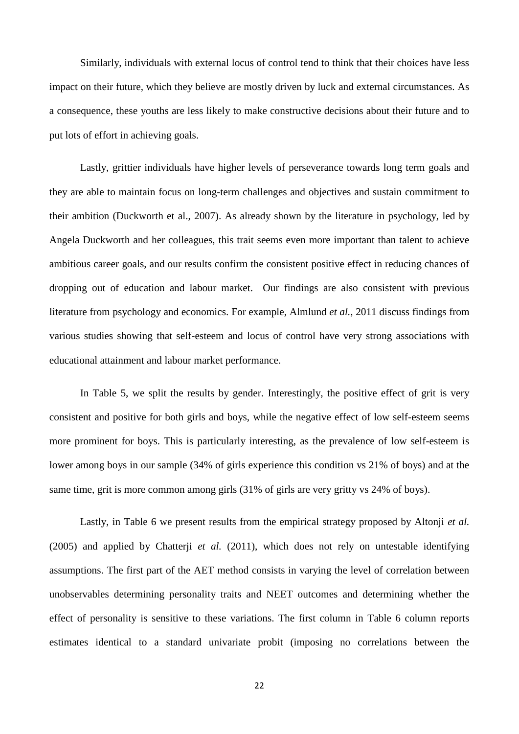Similarly, individuals with external locus of control tend to think that their choices have less impact on their future, which they believe are mostly driven by luck and external circumstances. As a consequence, these youths are less likely to make constructive decisions about their future and to put lots of effort in achieving goals.

Lastly, grittier individuals have higher levels of perseverance towards long term goals and they are able to maintain focus on long-term challenges and objectives and sustain commitment to their ambition (Duckworth et al., 2007). As already shown by the literature in psychology, led by Angela Duckworth and her colleagues, this trait seems even more important than talent to achieve ambitious career goals, and our results confirm the consistent positive effect in reducing chances of dropping out of education and labour market. Our findings are also consistent with previous literature from psychology and economics. For example, Almlund *et al.,* 2011 discuss findings from various studies showing that self-esteem and locus of control have very strong associations with educational attainment and labour market performance.

In Table 5, we split the results by gender. Interestingly, the positive effect of grit is very consistent and positive for both girls and boys, while the negative effect of low self-esteem seems more prominent for boys. This is particularly interesting, as the prevalence of low self-esteem is lower among boys in our sample (34% of girls experience this condition vs 21% of boys) and at the same time, grit is more common among girls (31% of girls are very gritty vs 24% of boys).

Lastly, in Table 6 we present results from the empirical strategy proposed by Altonji *et al.* (2005) and applied by Chatterji *et al.* (2011), which does not rely on untestable identifying assumptions. The first part of the AET method consists in varying the level of correlation between unobservables determining personality traits and NEET outcomes and determining whether the effect of personality is sensitive to these variations. The first column in Table 6 column reports estimates identical to a standard univariate probit (imposing no correlations between the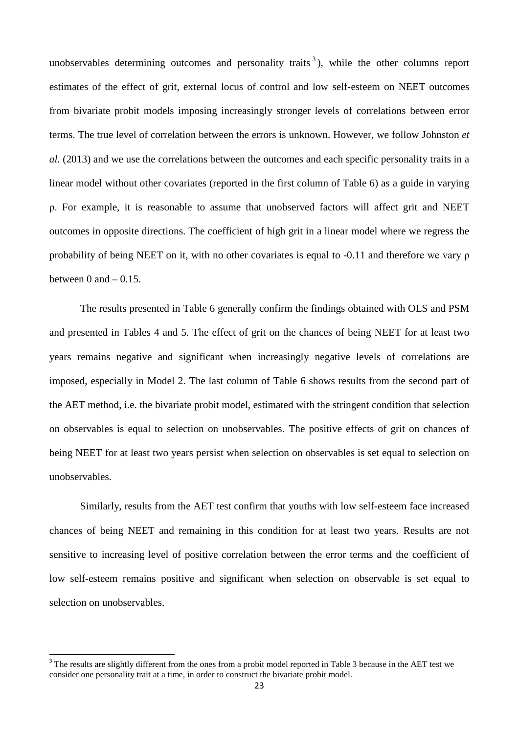unobservables determining outcomes and personality traits<sup>[3](#page-16-0)</sup>), while the other columns report estimates of the effect of grit, external locus of control and low self-esteem on NEET outcomes from bivariate probit models imposing increasingly stronger levels of correlations between error terms. The true level of correlation between the errors is unknown. However, we follow Johnston *et al.* (2013) and we use the correlations between the outcomes and each specific personality traits in a linear model without other covariates (reported in the first column of Table 6) as a guide in varying ρ. For example, it is reasonable to assume that unobserved factors will affect grit and NEET outcomes in opposite directions. The coefficient of high grit in a linear model where we regress the probability of being NEET on it, with no other covariates is equal to -0.11 and therefore we vary ρ between 0 and  $-0.15$ .

The results presented in Table 6 generally confirm the findings obtained with OLS and PSM and presented in Tables 4 and 5. The effect of grit on the chances of being NEET for at least two years remains negative and significant when increasingly negative levels of correlations are imposed, especially in Model 2. The last column of Table 6 shows results from the second part of the AET method, i.e. the bivariate probit model, estimated with the stringent condition that selection on observables is equal to selection on unobservables. The positive effects of grit on chances of being NEET for at least two years persist when selection on observables is set equal to selection on unobservables.

Similarly, results from the AET test confirm that youths with low self-esteem face increased chances of being NEET and remaining in this condition for at least two years. Results are not sensitive to increasing level of positive correlation between the error terms and the coefficient of low self-esteem remains positive and significant when selection on observable is set equal to selection on unobservables.

<sup>&</sup>lt;sup>3</sup> The results are slightly different from the ones from a probit model reported in Table 3 because in the AET test we consider one personality trait at a time, in order to construct the bivariate probit model.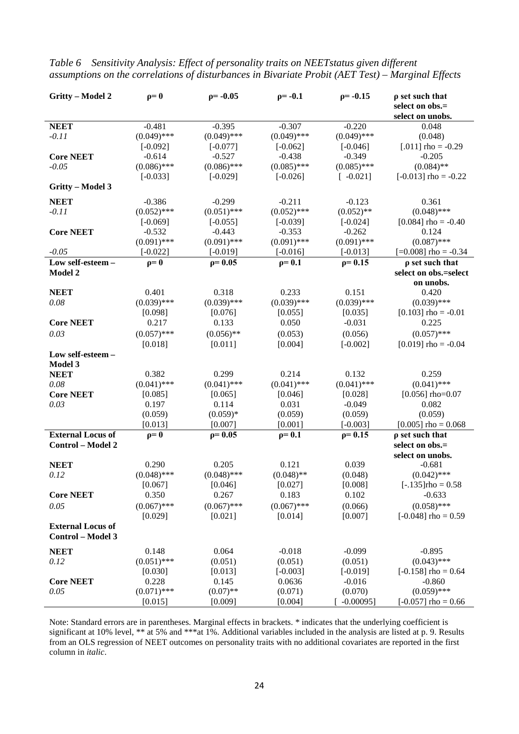| Gritty - Model 2            | $\rho = 0$             | $p = -0.05$               | $p = -0.1$<br>$p = -0.15$ |                           | $\rho$ set such that     |
|-----------------------------|------------------------|---------------------------|---------------------------|---------------------------|--------------------------|
|                             |                        |                           |                           |                           | select on obs.=          |
|                             |                        |                           |                           |                           | select on unobs.         |
| <b>NEET</b>                 | $-0.481$               | $-0.395$                  | $-0.307$                  | $-0.220$                  | 0.048                    |
| $-0.11$                     | $(0.049)$ ***          | $(0.049)$ ***             | $(0.049)$ ***             | $(0.049)$ ***             | (0.048)                  |
|                             | $[-0.092]$             | $[-0.077]$                | $[-0.062]$                | $[-0.046]$                | [.011] $rho = -0.29$     |
| <b>Core NEET</b><br>$-0.05$ | $-0.614$               | $-0.527$<br>$(0.086)$ *** | $-0.438$<br>$(0.085)$ *** | $-0.349$<br>$(0.085)$ *** | $-0.205$<br>$(0.084)$ ** |
|                             | $(0.086)$ ***          |                           |                           |                           | $[-0.013]$ rho = $-0.22$ |
| Gritty - Model 3            | $[-0.033]$             | $[-0.029]$                | $[-0.026]$                | $[-0.021]$                |                          |
|                             |                        |                           |                           |                           |                          |
| <b>NEET</b>                 | $-0.386$               | $-0.299$                  | $-0.211$                  | $-0.123$                  | 0.361                    |
| $-0.11$                     | $(0.052)$ ***          | $(0.051)$ ***             | $(0.052)$ ***             | $(0.052)$ **              | $(0.048)$ ***            |
|                             | $[-0.069]$             | $[-0.055]$                | $[-0.039]$                | $[-0.024]$                | [ $0.084$ ] rho = -0.40  |
| <b>Core NEET</b>            | $-0.532$               | $-0.443$                  | $-0.353$                  | $-0.262$                  | 0.124                    |
|                             | $(0.091)$ ***          | $(0.091)$ ***             | $(0.091)$ ***             | $(0.091)$ ***             | $(0.087)$ ***            |
| $-0.05$                     | $[-0.022]$             | $[-0.019]$                | $[-0.016]$                | $[-0.013]$                | $[=0.008]$ rho = -0.34   |
| Low self-esteem -           | $\rho = 0$             | $\rho = 0.05$             | $\rho = 0.1$              | $p = 0.15$                | $\rho$ set such that     |
| Model 2                     |                        |                           |                           |                           | select on obs.=select    |
|                             |                        |                           |                           | 0.151                     | on unobs.                |
| <b>NEET</b><br>0.08         | 0.401<br>$(0.039)$ *** | 0.318<br>$(0.039)$ ***    | 0.233<br>$(0.039)$ ***    | $(0.039)$ ***             | 0.420<br>$(0.039)$ ***   |
|                             | [0.098]                | [0.076]                   | [0.055]                   | [0.035]                   | $[0.103]$ rho = -0.01    |
| <b>Core NEET</b>            | 0.217                  | 0.133                     | 0.050                     | $-0.031$                  | 0.225                    |
|                             | $(0.057)$ ***          |                           |                           |                           | $(0.057)$ ***            |
| 0.03                        |                        | $(0.056)$ **              | (0.053)                   | (0.056)                   |                          |
| Low self-esteem -           | [0.018]                | [0.011]                   | [0.004]                   | $[-0.002]$                | $[0.019]$ rho = -0.04    |
| Model 3                     |                        |                           |                           |                           |                          |
| <b>NEET</b>                 | 0.382                  | 0.299                     | 0.214                     | 0.132                     | 0.259                    |
| 0.08                        | $(0.041)$ ***          | $(0.041)$ ***             | $(0.041)$ ***             | $(0.041)$ ***             | $(0.041)$ ***            |
| <b>Core NEET</b>            | [0.085]                | [0.065]                   | [0.046]                   | [0.028]                   | $[0.056]$ rho=0.07       |
| 0.03                        | 0.197                  | 0.114                     | 0.031                     | $-0.049$                  | 0.082                    |
|                             | (0.059)                | $(0.059)*$                | (0.059)                   | (0.059)                   | (0.059)                  |
|                             | [0.013]                | [0.007]                   | [0.001]                   | $[-0.003]$                | $[0.005]$ rho = 0.068    |
| <b>External Locus of</b>    | $\rho = 0$             | $\rho = 0.05$             | $\rho = 0.1$              | $\rho = 0.15$             | $\rho$ set such that     |
| Control - Model 2           |                        |                           |                           |                           | select on obs.=          |
|                             |                        |                           |                           |                           | select on unobs.         |
| <b>NEET</b>                 | 0.290                  | 0.205                     | 0.121                     | 0.039                     | $-0.681$                 |
| 0.12                        | $(0.048)$ ***          | $(0.048)$ ***             | $(0.048)$ **              | (0.048)                   | $(0.042)$ ***            |
|                             | [0.067]                | [0.046]                   | [0.027]                   | [0.008]                   | $[-.135]$ rho = 0.58     |
| <b>Core NEET</b>            | 0.350                  | 0.267                     | 0.183                     | 0.102                     | $-0.633$                 |
| 0.05                        | $(0.067)$ ***          | $(0.067)$ ***             | $(0.067)$ ***             | (0.066)                   | $(0.058)$ ***            |
|                             | [0.029]                | [0.021]                   | [0.014]                   | [0.007]                   | $[-0.048]$ rho = 0.59    |
| <b>External Locus of</b>    |                        |                           |                           |                           |                          |
| Control - Model 3           |                        |                           |                           |                           |                          |
| <b>NEET</b>                 | 0.148                  | 0.064                     | $-0.018$                  | $-0.099$                  | $-0.895$                 |
| 0.12                        | $(0.051)$ ***          | (0.051)                   | (0.051)                   | (0.051)                   | $(0.043)$ ***            |
|                             | [0.030]                | [0.013]                   | $[-0.003]$                | $[-0.019]$                | $[-0.158]$ rho = 0.64    |
| <b>Core NEET</b>            | 0.228                  | 0.145                     | 0.0636                    | $-0.016$                  | $-0.860$                 |
| 0.05                        | $(0.071)$ ***          | $(0.07)$ **               | (0.071)                   | (0.070)                   | $(0.059)$ ***            |
|                             | [0.015]                | [0.009]                   | [0.004]                   | $-0.00095$ ]              | $[-0.057]$ rho = 0.66    |

*Table 6 Sensitivity Analysis: Effect of personality traits on NEETstatus given different assumptions on the correlations of disturbances in Bivariate Probit (AET Test) – Marginal Effects*

Note: Standard errors are in parentheses. Marginal effects in brackets. \* indicates that the underlying coefficient is significant at 10% level, \*\* at 5% and \*\*\*at 1%. Additional variables included in the analysis are listed at p. 9. Results from an OLS regression of NEET outcomes on personality traits with no additional covariates are reported in the first column in *italic*.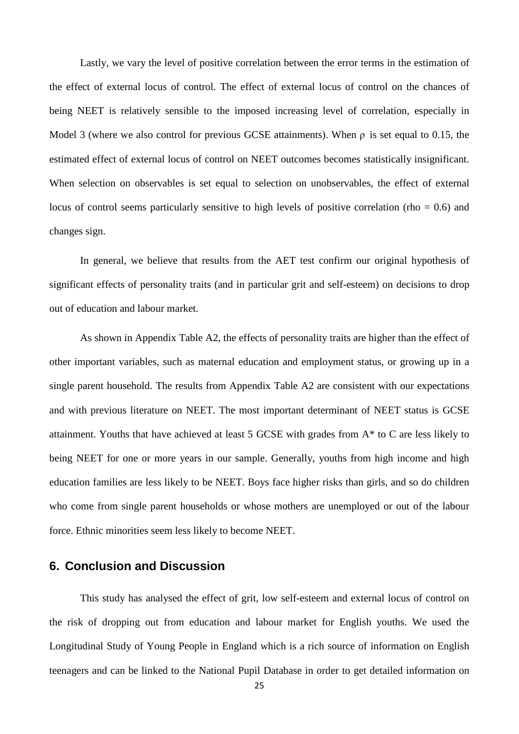Lastly, we vary the level of positive correlation between the error terms in the estimation of the effect of external locus of control. The effect of external locus of control on the chances of being NEET is relatively sensible to the imposed increasing level of correlation, especially in Model 3 (where we also control for previous GCSE attainments). When ρ is set equal to 0.15, the estimated effect of external locus of control on NEET outcomes becomes statistically insignificant. When selection on observables is set equal to selection on unobservables, the effect of external locus of control seems particularly sensitive to high levels of positive correlation (rho  $= 0.6$ ) and changes sign.

In general, we believe that results from the AET test confirm our original hypothesis of significant effects of personality traits (and in particular grit and self-esteem) on decisions to drop out of education and labour market.

As shown in Appendix Table A2, the effects of personality traits are higher than the effect of other important variables, such as maternal education and employment status, or growing up in a single parent household. The results from Appendix Table A2 are consistent with our expectations and with previous literature on NEET. The most important determinant of NEET status is GCSE attainment. Youths that have achieved at least 5 GCSE with grades from A\* to C are less likely to being NEET for one or more years in our sample. Generally, youths from high income and high education families are less likely to be NEET. Boys face higher risks than girls, and so do children who come from single parent households or whose mothers are unemployed or out of the labour force. Ethnic minorities seem less likely to become NEET.

# **6. Conclusion and Discussion**

This study has analysed the effect of grit, low self-esteem and external locus of control on the risk of dropping out from education and labour market for English youths. We used the Longitudinal Study of Young People in England which is a rich source of information on English teenagers and can be linked to the National Pupil Database in order to get detailed information on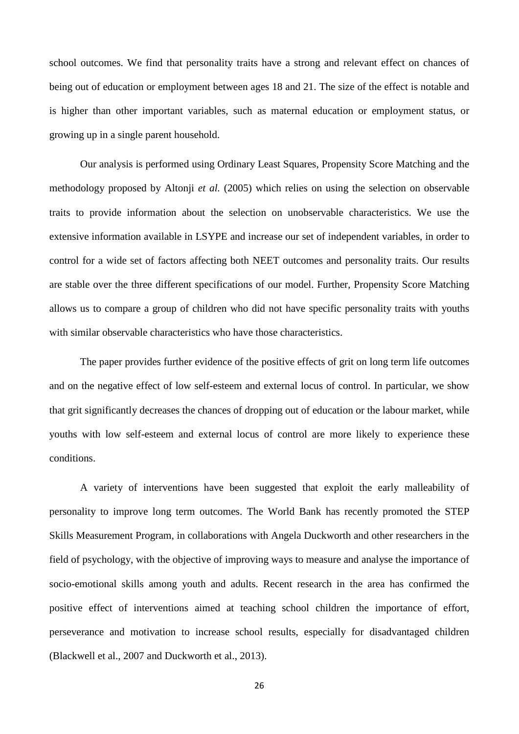school outcomes. We find that personality traits have a strong and relevant effect on chances of being out of education or employment between ages 18 and 21. The size of the effect is notable and is higher than other important variables, such as maternal education or employment status, or growing up in a single parent household.

Our analysis is performed using Ordinary Least Squares, Propensity Score Matching and the methodology proposed by Altonji *et al.* (2005) which relies on using the selection on observable traits to provide information about the selection on unobservable characteristics. We use the extensive information available in LSYPE and increase our set of independent variables, in order to control for a wide set of factors affecting both NEET outcomes and personality traits. Our results are stable over the three different specifications of our model. Further, Propensity Score Matching allows us to compare a group of children who did not have specific personality traits with youths with similar observable characteristics who have those characteristics.

The paper provides further evidence of the positive effects of grit on long term life outcomes and on the negative effect of low self-esteem and external locus of control. In particular, we show that grit significantly decreases the chances of dropping out of education or the labour market, while youths with low self-esteem and external locus of control are more likely to experience these conditions.

A variety of interventions have been suggested that exploit the early malleability of personality to improve long term outcomes. The World Bank has recently promoted the STEP Skills Measurement Program, in collaborations with Angela Duckworth and other researchers in the field of psychology, with the objective of improving ways to measure and analyse the importance of socio-emotional skills among youth and adults. Recent research in the area has confirmed the positive effect of interventions aimed at teaching school children the importance of effort, perseverance and motivation to increase school results, especially for disadvantaged children (Blackwell et al., 2007 and Duckworth et al., 2013).

26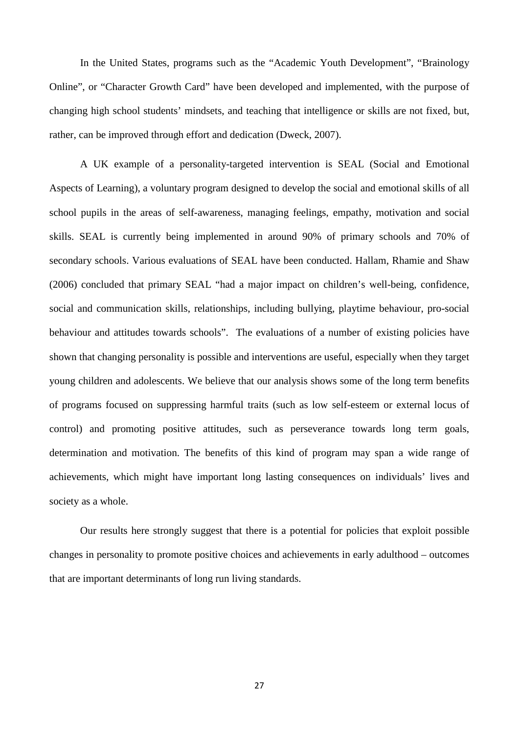In the United States, programs such as the "Academic Youth Development", "Brainology Online", or "Character Growth Card" have been developed and implemented, with the purpose of changing high school students' mindsets, and teaching that intelligence or skills are not fixed, but, rather, can be improved through effort and dedication (Dweck, 2007).

A UK example of a personality-targeted intervention is SEAL (Social and Emotional Aspects of Learning), a voluntary program designed to develop the social and emotional skills of all school pupils in the areas of self-awareness, managing feelings, empathy, motivation and social skills. SEAL is currently being implemented in around 90% of primary schools and 70% of secondary schools. Various evaluations of SEAL have been conducted. Hallam, Rhamie and Shaw (2006) concluded that primary SEAL "had a major impact on children's well-being, confidence, social and communication skills, relationships, including bullying, playtime behaviour, pro-social behaviour and attitudes towards schools". The evaluations of a number of existing policies have shown that changing personality is possible and interventions are useful, especially when they target young children and adolescents. We believe that our analysis shows some of the long term benefits of programs focused on suppressing harmful traits (such as low self-esteem or external locus of control) and promoting positive attitudes, such as perseverance towards long term goals, determination and motivation. The benefits of this kind of program may span a wide range of achievements, which might have important long lasting consequences on individuals' lives and society as a whole.

Our results here strongly suggest that there is a potential for policies that exploit possible changes in personality to promote positive choices and achievements in early adulthood – outcomes that are important determinants of long run living standards.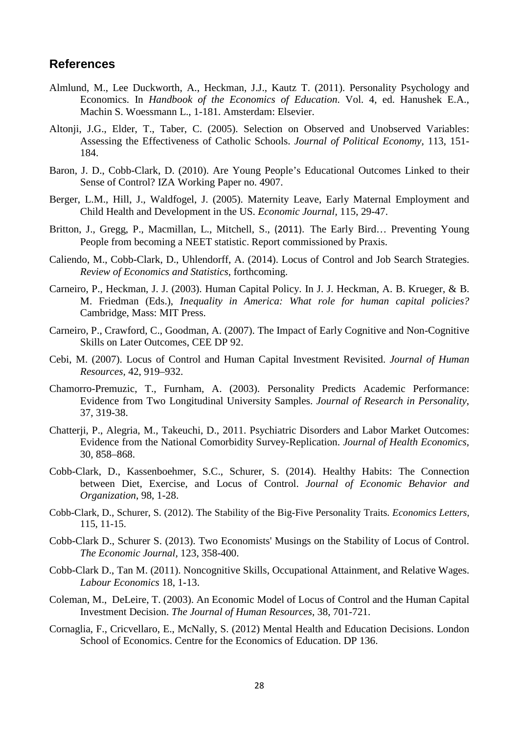# **References**

- Almlund, M., Lee Duckworth, A., Heckman, J.J., Kautz T. (2011). Personality Psychology and Economics. In *Handbook of the Economics of Education*. Vol. 4, ed. Hanushek E.A., Machin S. Woessmann L., 1-181. Amsterdam: Elsevier.
- Altonji, J.G., Elder, T., Taber, C. (2005). Selection on Observed and Unobserved Variables: Assessing the Effectiveness of Catholic Schools. *Journal of Political Economy,* 113, 151- 184.
- Baron, J. D., Cobb-Clark, D. (2010). Are Young People's Educational Outcomes Linked to their Sense of Control? IZA Working Paper no. 4907.
- Berger, L.M., Hill, J., Waldfogel, J. (2005). Maternity Leave, Early Maternal Employment and Child Health and Development in the US. *Economic Journal,* 115, 29-47.
- Britton, J., Gregg, P., Macmillan, L., Mitchell, S., (2011). The Early Bird… Preventing Young People from becoming a NEET statistic. Report commissioned by Praxis.
- Caliendo, M., Cobb-Clark, D., Uhlendorff, A. (2014). Locus of Control and Job Search Strategies. *Review of Economics and Statistics*, forthcoming.
- Carneiro, P., Heckman, J. J. (2003). Human Capital Policy. In J. J. Heckman, A. B. Krueger, & B. M. Friedman (Eds.), *Inequality in America: What role for human capital policies?* Cambridge, Mass: MIT Press.
- Carneiro, P., Crawford, C., Goodman, A. (2007). The Impact of Early Cognitive and Non-Cognitive Skills on Later Outcomes, CEE DP 92.
- Cebi, M. (2007). Locus of Control and Human Capital Investment Revisited. *Journal of Human Resources,* 42, 919–932.
- Chamorro-Premuzic, T., Furnham, A. (2003). Personality Predicts Academic Performance: Evidence from Two Longitudinal University Samples. *Journal of Research in Personality*, 37, 319-38.
- Chatterji, P., Alegria, M., Takeuchi, D., 2011. Psychiatric Disorders and Labor Market Outcomes: Evidence from the National Comorbidity Survey-Replication. *Journal of Health Economics,* 30, 858–868.
- Cobb-Clark, D., Kassenboehmer, S.C., Schurer, S. (2014). Healthy Habits: The Connection between Diet, Exercise, and Locus of Control. *Journal of Economic Behavior and Organization*, 98, 1-28.
- Cobb-Clark, D., Schurer, S. (2012). The Stability of the Big-Five Personality Traits. *Economics Letters,* 115, 11-15.
- Cobb-Clark D., Schurer S. (2013). Two Economists' Musings on the Stability of Locus of Control. *The Economic Journal,* 123, 358-400.
- Cobb-Clark D., Tan M. (2011). Noncognitive Skills, Occupational Attainment, and Relative Wages. *Labour Economics* 18, 1-13.
- Coleman, M., DeLeire, T. (2003). An Economic Model of Locus of Control and the Human Capital Investment Decision. *The Journal of Human Resources,* 38, 701-721.
- Cornaglia, F., Cricvellaro, E., McNally, S. (2012) Mental Health and Education Decisions. London School of Economics. Centre for the Economics of Education. DP 136.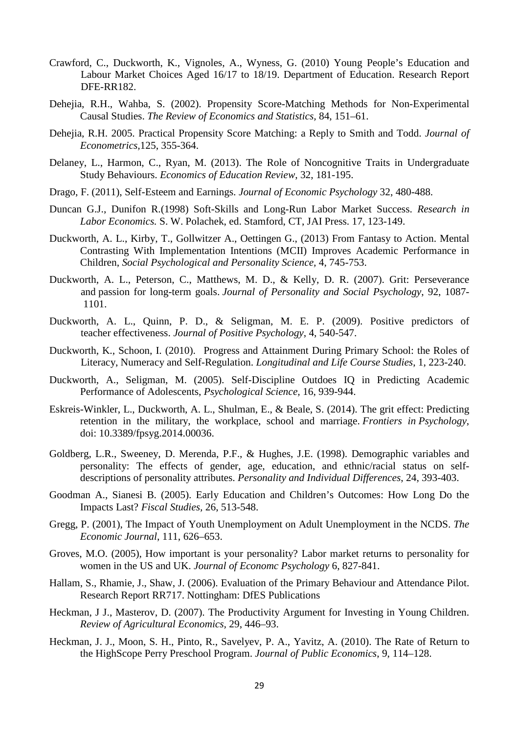- Crawford, C., Duckworth, K., Vignoles, A., Wyness, G. (2010) Young People's Education and Labour Market Choices Aged 16/17 to 18/19. Department of Education. Research Report DFE-RR182.
- Dehejia, R.H., Wahba, S. (2002). Propensity Score-Matching Methods for Non-Experimental Causal Studies. *The Review of Economics and Statistics,* 84, 151–61.
- Dehejia, R.H. 2005. Practical Propensity Score Matching: a Reply to Smith and Todd. *Journal of Econometrics,*125, 355-364.
- Delaney, L., Harmon, C., Ryan, M. (2013). The Role of Noncognitive Traits in Undergraduate Study Behaviours. *Economics of Education Review*, 32, 181-195.
- Drago, F. (2011), Self-Esteem and Earnings. *Journal of Economic Psychology* 32, 480-488.
- Duncan G.J., Dunifon R.(1998) Soft-Skills and Long-Run Labor Market Success. *Research in Labor Economics.* S. W. Polachek, ed. Stamford, CT, JAI Press. 17, 123-149.
- Duckworth, A. L., Kirby, T., Gollwitzer A., Oettingen G., (2013) From Fantasy to Action. Mental Contrasting With Implementation Intentions (MCII) Improves Academic Performance in Children, *Social Psychological and Personality Science,* 4, 745-753.
- Duckworth, A. L., Peterson, C., Matthews, M. D., & Kelly, D. R. (2007). Grit: Perseverance and passion for long-term goals. *Journal of Personality and Social Psychology*, 92, 1087- 1101.
- Duckworth, A. L., Quinn, P. D., & Seligman, M. E. P. (2009). Positive predictors of teacher effectiveness. *Journal of Positive Psychology*, 4, 540-547.
- Duckworth, K., Schoon, I. (2010). Progress and Attainment During Primary School: the Roles of Literacy, Numeracy and Self-Regulation. *Longitudinal and Life Course Studies*, 1, 223-240.
- Duckworth, A., Seligman, M. (2005). Self-Discipline Outdoes IQ in Predicting Academic Performance of Adolescents, *Psychological Science,* 16, 939-944.
- Eskreis-Winkler, L., Duckworth, A. L., Shulman, E., & Beale, S. (2014). The grit effect: Predicting retention in the military, the workplace, school and marriage. *Frontiers in Psychology*, doi: [10.3389/fpsyg.2014.00036.](http://dx.doi.org/10.3389%2Ffpsyg.2014.00036)
- Goldberg, L.R., Sweeney, D. Merenda, P.F., & Hughes, J.E. (1998). Demographic variables and personality: The effects of gender, age, education, and ethnic/racial status on selfdescriptions of personality attributes. *Personality and Individual Differences*, 24, 393-403.
- Goodman A., Sianesi B. (2005). Early Education and Children's Outcomes: How Long Do the Impacts Last? *Fiscal Studies,* 26, 513-548.
- Gregg, P. (2001), The Impact of Youth Unemployment on Adult Unemployment in the NCDS. *The Economic Journal*, 111, 626–653.
- Groves, M.O. (2005), How important is your personality? Labor market returns to personality for women in the US and UK. *Journal of Economc Psychology* 6, 827-841.
- Hallam, S., Rhamie, J., Shaw, J. (2006). Evaluation of the Primary Behaviour and Attendance Pilot. Research Report RR717. Nottingham: DfES Publications
- Heckman, J J., Masterov, D. (2007). The Productivity Argument for Investing in Young Children. *Review of Agricultural Economics,* 29, 446–93.
- Heckman, J. J., Moon, S. H., Pinto, R., Savelyev, P. A., Yavitz, A. (2010). The Rate of Return to the HighScope Perry Preschool Program. *Journal of Public Economics*, 9, 114–128.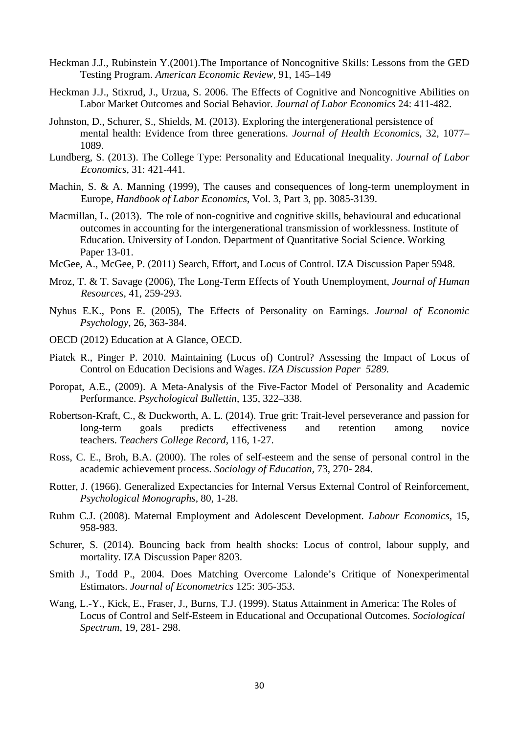- Heckman J.J., Rubinstein Y.(2001).The Importance of Noncognitive Skills: Lessons from the GED Testing Program. *American Economic Review,* 91, 145–149
- Heckman J.J., Stixrud, J., Urzua, S. 2006. The Effects of Cognitive and Noncognitive Abilities on Labor Market Outcomes and Social Behavior. *Journal of Labor Economics* 24: 411-482.
- Johnston, D., Schurer, S., Shields, M. (2013). Exploring the intergenerational persistence of mental health: Evidence from three generations. *Journal of Health Economic*s, 32, 1077– 1089.
- Lundberg, S. (2013). The College Type: Personality and Educational Inequality. *Journal of Labor Economics,* 31: 421-441.
- Machin, S. & A. Manning (1999), The causes and consequences of long-term unemployment in Europe, *Handbook of Labor Economics*, Vol. 3, Part 3, pp. 3085-3139.
- Macmillan, L. (2013). The role of non-cognitive and cognitive skills, behavioural and educational outcomes in accounting for the intergenerational transmission of worklessness. Institute of Education. University of London. Department of Quantitative Social Science. Working Paper 13-01.
- McGee, A., McGee, P. (2011) Search, Effort, and Locus of Control. IZA Discussion Paper 5948.
- Mroz, T. & T. Savage (2006), The Long-Term Effects of Youth Unemployment, *Journal of Human Resources*, 41, 259-293.
- Nyhus E.K., Pons E. (2005), The Effects of Personality on Earnings. *Journal of Economic Psychology*, 26, 363-384.
- OECD (2012) Education at A Glance, OECD.
- Piatek R., Pinger P. 2010. Maintaining (Locus of) Control? Assessing the Impact of Locus of Control on Education Decisions and Wages. *IZA Discussion Paper 5289.*
- Poropat, A.E., (2009). A Meta-Analysis of the Five-Factor Model of Personality and Academic Performance. *Psychological Bullettin*, 135, 322–338.
- Robertson-Kraft, C., & Duckworth, A. L. (2014). True grit: Trait-level perseverance and passion for long-term goals predicts effectiveness and retention among novice teachers. *Teachers College Record*, 116, 1-27.
- Ross, C. E., Broh, B.A. (2000). The roles of self-esteem and the sense of personal control in the academic achievement process. *Sociology of Education,* 73, 270- 284.
- Rotter, J. (1966). Generalized Expectancies for Internal Versus External Control of Reinforcement, *Psychological Monographs*, 80, 1-28.
- Ruhm C.J. (2008). Maternal Employment and Adolescent Development*. Labour Economics,* 15, 958-983.
- Schurer, S. (2014). Bouncing back from health shocks: Locus of control, labour supply, and mortality. IZA Discussion Paper 8203.
- Smith J., Todd P., 2004. Does Matching Overcome Lalonde's Critique of Nonexperimental Estimators. *Journal of Econometrics* 125: 305-353.
- Wang, L.-Y., Kick, E., Fraser, J., Burns, T.J. (1999). Status Attainment in America: The Roles of Locus of Control and Self-Esteem in Educational and Occupational Outcomes. *Sociological Spectrum*, 19, 281- 298.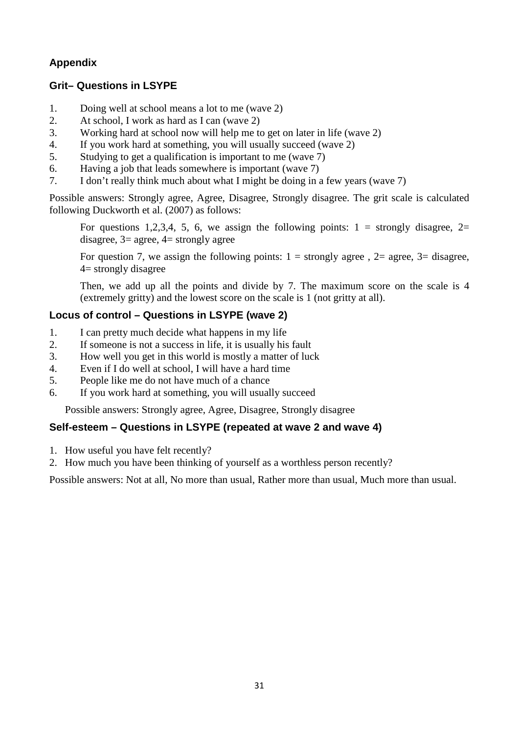# **Appendix**

# **Grit– Questions in LSYPE**

- 1. Doing well at school means a lot to me (wave 2)
- 2. At school, I work as hard as I can (wave 2)
- 3. Working hard at school now will help me to get on later in life (wave 2)
- 4. If you work hard at something, you will usually succeed (wave 2)
- 5. Studying to get a qualification is important to me (wave 7)
- 6. Having a job that leads somewhere is important (wave 7)
- 7. I don't really think much about what I might be doing in a few years (wave 7)

Possible answers: Strongly agree, Agree, Disagree, Strongly disagree. The grit scale is calculated following Duckworth et al. (2007) as follows:

For questions 1,2,3,4, 5, 6, we assign the following points:  $1 =$  strongly disagree,  $2=$ disagree,  $3$  = agree,  $4$  = strongly agree

For question 7, we assign the following points:  $1 =$  strongly agree,  $2 =$  agree,  $3 =$  disagree, 4= strongly disagree

Then, we add up all the points and divide by 7. The maximum score on the scale is 4 (extremely gritty) and the lowest score on the scale is 1 (not gritty at all).

# **Locus of control – Questions in LSYPE (wave 2)**

- 1. I can pretty much decide what happens in my life
- 2. If someone is not a success in life, it is usually his fault
- 3. How well you get in this world is mostly a matter of luck
- 4. Even if I do well at school, I will have a hard time
- 5. People like me do not have much of a chance
- 6. If you work hard at something, you will usually succeed

Possible answers: Strongly agree, Agree, Disagree, Strongly disagree

# **Self-esteem – Questions in LSYPE (repeated at wave 2 and wave 4)**

- 1. How useful you have felt recently?
- 2. How much you have been thinking of yourself as a worthless person recently?

Possible answers: Not at all, No more than usual, Rather more than usual, Much more than usual.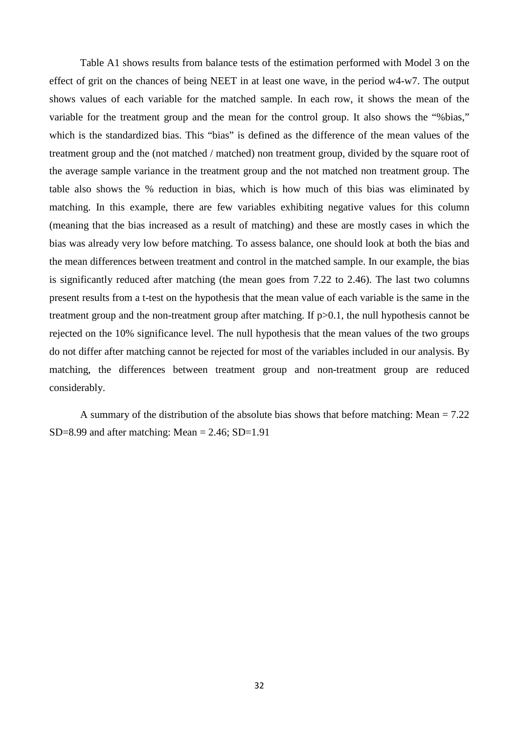Table A1 shows results from balance tests of the estimation performed with Model 3 on the effect of grit on the chances of being NEET in at least one wave, in the period w4-w7. The output shows values of each variable for the matched sample. In each row, it shows the mean of the variable for the treatment group and the mean for the control group. It also shows the "%bias," which is the standardized bias. This "bias" is defined as the difference of the mean values of the treatment group and the (not matched / matched) non treatment group, divided by the square root of the average sample variance in the treatment group and the not matched non treatment group. The table also shows the % reduction in bias, which is how much of this bias was eliminated by matching. In this example, there are few variables exhibiting negative values for this column (meaning that the bias increased as a result of matching) and these are mostly cases in which the bias was already very low before matching. To assess balance, one should look at both the bias and the mean differences between treatment and control in the matched sample. In our example, the bias is significantly reduced after matching (the mean goes from 7.22 to 2.46). The last two columns present results from a t-test on the hypothesis that the mean value of each variable is the same in the treatment group and the non-treatment group after matching. If p>0.1, the null hypothesis cannot be rejected on the 10% significance level. The null hypothesis that the mean values of the two groups do not differ after matching cannot be rejected for most of the variables included in our analysis. By matching, the differences between treatment group and non-treatment group are reduced considerably.

A summary of the distribution of the absolute bias shows that before matching: Mean = 7.22 SD=8.99 and after matching: Mean =  $2.46$ ; SD=1.91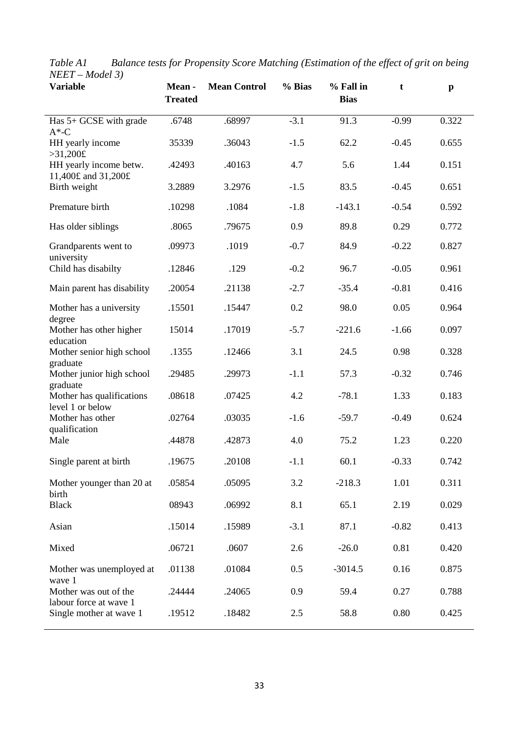| <b>Variable</b>                                 | Mean-<br><b>Treated</b> | <b>Mean Control</b> | % Bias | % Fall in<br><b>Bias</b> | t       | $\mathbf{p}$ |
|-------------------------------------------------|-------------------------|---------------------|--------|--------------------------|---------|--------------|
| Has 5+ GCSE with grade<br>$A^*$ -C              | .6748                   | .68997              | $-3.1$ | 91.3                     | $-0.99$ | 0.322        |
| HH yearly income<br>>31,200f                    | 35339                   | .36043              | $-1.5$ | 62.2                     | $-0.45$ | 0.655        |
| HH yearly income betw.<br>11,400£ and 31,200£   | .42493                  | .40163              | 4.7    | 5.6                      | 1.44    | 0.151        |
| Birth weight                                    | 3.2889                  | 3.2976              | $-1.5$ | 83.5                     | $-0.45$ | 0.651        |
| Premature birth                                 | .10298                  | .1084               | $-1.8$ | $-143.1$                 | $-0.54$ | 0.592        |
| Has older siblings                              | .8065                   | .79675              | 0.9    | 89.8                     | 0.29    | 0.772        |
| Grandparents went to<br>university              | .09973                  | .1019               | $-0.7$ | 84.9                     | $-0.22$ | 0.827        |
| Child has disabilty                             | .12846                  | .129                | $-0.2$ | 96.7                     | $-0.05$ | 0.961        |
| Main parent has disability                      | .20054                  | .21138              | $-2.7$ | $-35.4$                  | $-0.81$ | 0.416        |
| Mother has a university                         | .15501                  | .15447              | 0.2    | 98.0                     | 0.05    | 0.964        |
| degree<br>Mother has other higher<br>education  | 15014                   | .17019              | $-5.7$ | $-221.6$                 | $-1.66$ | 0.097        |
| Mother senior high school<br>graduate           | .1355                   | .12466              | 3.1    | 24.5                     | 0.98    | 0.328        |
| Mother junior high school<br>graduate           | .29485                  | .29973              | $-1.1$ | 57.3                     | $-0.32$ | 0.746        |
| Mother has qualifications<br>level 1 or below   | .08618                  | .07425              | 4.2    | $-78.1$                  | 1.33    | 0.183        |
| Mother has other<br>qualification               | .02764                  | .03035              | $-1.6$ | $-59.7$                  | $-0.49$ | 0.624        |
| Male                                            | .44878                  | .42873              | 4.0    | 75.2                     | 1.23    | 0.220        |
| Single parent at birth                          | .19675                  | .20108              | $-1.1$ | 60.1                     | $-0.33$ | 0.742        |
| Mother younger than 20 at<br>birth              | .05854                  | .05095              | 3.2    | $-218.3$                 | 1.01    | 0.311        |
| <b>Black</b>                                    | 08943                   | .06992              | 8.1    | 65.1                     | 2.19    | 0.029        |
| Asian                                           | .15014                  | .15989              | $-3.1$ | 87.1                     | $-0.82$ | 0.413        |
| Mixed                                           | .06721                  | .0607               | 2.6    | $-26.0$                  | 0.81    | 0.420        |
| Mother was unemployed at<br>wave 1              | .01138                  | .01084              | 0.5    | $-3014.5$                | 0.16    | 0.875        |
| Mother was out of the<br>labour force at wave 1 | .24444                  | .24065              | 0.9    | 59.4                     | 0.27    | 0.788        |
| Single mother at wave 1                         | .19512                  | .18482              | 2.5    | 58.8                     | 0.80    | 0.425        |

*Table A1 Balance tests for Propensity Score Matching (Estimation of the effect of grit on being NEET – Model 3)*